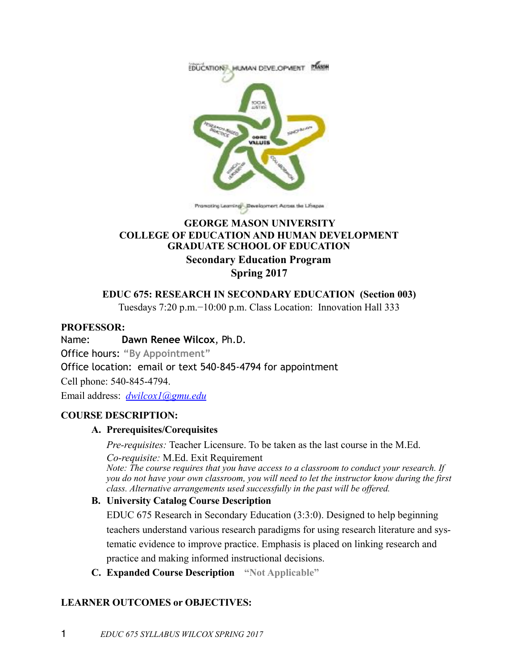

Pranating Learning<sup>1</sup>, Development Across the Linepon

### **GEORGE MASON UNIVERSITY COLLEGE OF EDUCATION AND HUMAN DEVELOPMENT GRADUATE SCHOOL OF EDUCATION Secondary Education Program Spring 2017**

#### **EDUC 675: RESEARCH IN SECONDARY EDUCATION (Section 003)**

Tuesdays 7:20 p.m.−10:00 p.m. Class Location: Innovation Hall 333

#### **PROFESSOR:**

Name: **Dawn Renee Wilcox**, Ph.D.

Office hours: **"By Appointment"**

Office location: email or text 540-845-4794 for appointment

Cell phone: 540-845-4794.

Email address: *[dwilcox1@gmu.edu](mailto:dwilcox1@gmu.edu)*

#### **COURSE DESCRIPTION:**

#### **A. Prerequisites/Corequisites**

*Pre-requisites:* Teacher Licensure. To be taken as the last course in the M.Ed. *Co-requisite:* M.Ed. Exit Requirement

*Note: The course requires that you have access to a classroom to conduct your research. If you do not have your own classroom, you will need to let the instructor know during the first class. Alternative arrangements used successfully in the past will be offered.*

#### **B. University Catalog Course Description**

EDUC 675 Research in Secondary Education (3:3:0). Designed to help beginning teachers understand various research paradigms for using research literature and systematic evidence to improve practice. Emphasis is placed on linking research and practice and making informed instructional decisions.

**C. Expanded Course Description "Not Applicable"**

#### **LEARNER OUTCOMES or OBJECTIVES:**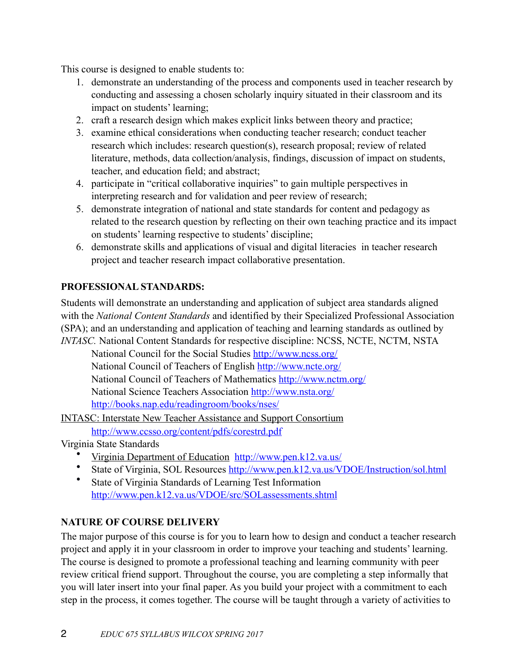This course is designed to enable students to:

- 1. demonstrate an understanding of the process and components used in teacher research by conducting and assessing a chosen scholarly inquiry situated in their classroom and its impact on students' learning;
- 2. craft a research design which makes explicit links between theory and practice;
- 3. examine ethical considerations when conducting teacher research; conduct teacher research which includes: research question(s), research proposal; review of related literature, methods, data collection/analysis, findings, discussion of impact on students, teacher, and education field; and abstract;
- 4. participate in "critical collaborative inquiries" to gain multiple perspectives in interpreting research and for validation and peer review of research;
- 5. demonstrate integration of national and state standards for content and pedagogy as related to the research question by reflecting on their own teaching practice and its impact on students' learning respective to students' discipline;
- 6. demonstrate skills and applications of visual and digital literacies in teacher research project and teacher research impact collaborative presentation.

# **PROFESSIONAL STANDARDS:**

Students will demonstrate an understanding and application of subject area standards aligned with the *National Content Standards* and identified by their Specialized Professional Association (SPA); and an understanding and application of teaching and learning standards as outlined by *INTASC*. National Content Standards for respective discipline: NCSS, NCTE, NCTM, NSTA

 National Council for the Social Studies<http://www.ncss.org/> National Council of Teachers of English<http://www.ncte.org/> National Council of Teachers of Mathematics <http://www.nctm.org/> National Science Teachers Association <http://www.nsta.org/> <http://books.nap.edu/readingroom/books/nses/>

[INTASC: Interstate New Teacher Assistance and Support Consortium](http://www.ccsso.org/content/pdfs/corestrd.pdf)

<http://www.ccsso.org/content/pdfs/corestrd.pdf>

Virginia State Standards

- [Virginia Department of Education](http://www.pen.k12.va.us/) <http://www.pen.k12.va.us/>
- State of Virginia, SOL Resources [http://www.pen.k12.va.us/VDOE/Instruction/sol.html](http://www.pen.k12.va.us/vdoe/instruction/sol.html)
- State of Virginia Standards of Learning Test Information [http://www.pen.k12.va.us/VDOE/src/SOLassessments.shtml](http://www.pen.k12.va.us/vdoe/src/solassessments.shtml)

# **NATURE OF COURSE DELIVERY**

The major purpose of this course is for you to learn how to design and conduct a teacher research project and apply it in your classroom in order to improve your teaching and students' learning. The course is designed to promote a professional teaching and learning community with peer review critical friend support. Throughout the course, you are completing a step informally that you will later insert into your final paper. As you build your project with a commitment to each step in the process, it comes together. The course will be taught through a variety of activities to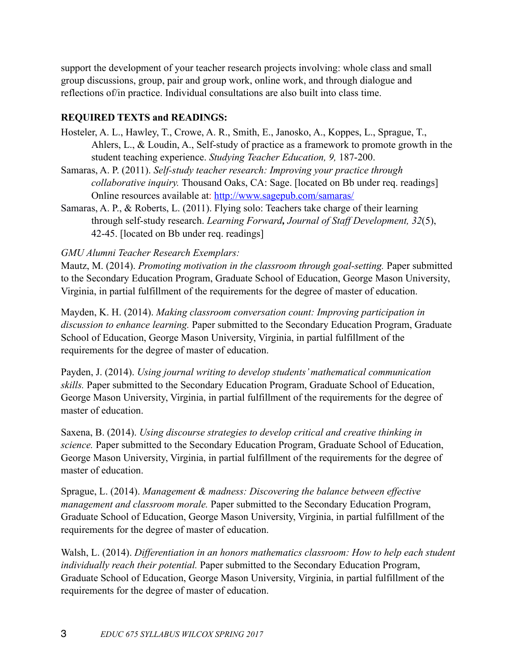support the development of your teacher research projects involving: whole class and small group discussions, group, pair and group work, online work, and through dialogue and reflections of/in practice. Individual consultations are also built into class time.

### **REQUIRED TEXTS and READINGS:**

- Hosteler, A. L., Hawley, T., Crowe, A. R., Smith, E., Janosko, A., Koppes, L., Sprague, T., Ahlers, L., & Loudin, A., Self-study of practice as a framework to promote growth in the student teaching experience. *Studying Teacher Education, 9,* 187-200.
- Samaras, A. P. (2011). *Self-study teacher research: Improving your practice through collaborative inquiry.* Thousand Oaks, CA: Sage. [located on Bb under req. readings] Online resources available at:<http://www.sagepub.com/samaras/>
- Samaras, A. P., & Roberts, L. (2011). Flying solo: Teachers take charge of their learning through self-study research. *Learning Forward, Journal of Staff Development, 32*(5), 42-45. [located on Bb under req. readings]

### *GMU Alumni Teacher Research Exemplars:*

Mautz, M. (2014). *Promoting motivation in the classroom through goal-setting.* Paper submitted to the Secondary Education Program, Graduate School of Education, George Mason University, Virginia, in partial fulfillment of the requirements for the degree of master of education.

Mayden, K. H. (2014). *Making classroom conversation count: Improving participation in discussion to enhance learning.* Paper submitted to the Secondary Education Program, Graduate School of Education, George Mason University, Virginia, in partial fulfillment of the requirements for the degree of master of education.

Payden, J. (2014). *Using journal writing to develop students' mathematical communication skills.* Paper submitted to the Secondary Education Program, Graduate School of Education, George Mason University, Virginia, in partial fulfillment of the requirements for the degree of master of education.

Saxena, B. (2014). *Using discourse strategies to develop critical and creative thinking in science.* Paper submitted to the Secondary Education Program, Graduate School of Education, George Mason University, Virginia, in partial fulfillment of the requirements for the degree of master of education.

Sprague, L. (2014). *Management & madness: Discovering the balance between effective management and classroom morale.* Paper submitted to the Secondary Education Program, Graduate School of Education, George Mason University, Virginia, in partial fulfillment of the requirements for the degree of master of education.

Walsh, L. (2014). *Differentiation in an honors mathematics classroom: How to help each student individually reach their potential.* Paper submitted to the Secondary Education Program, Graduate School of Education, George Mason University, Virginia, in partial fulfillment of the requirements for the degree of master of education.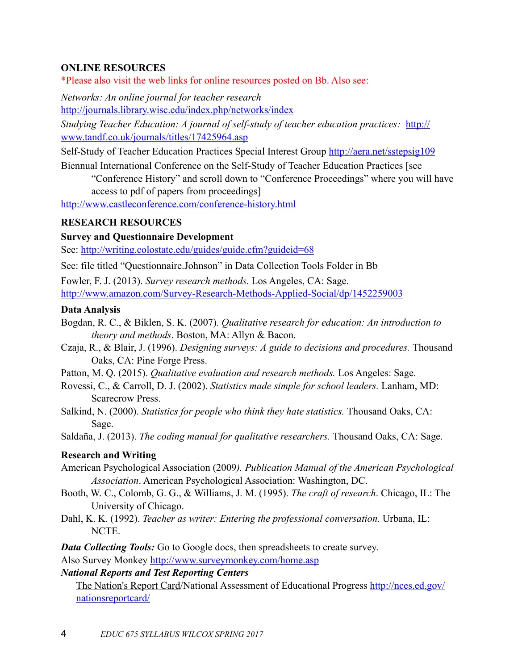### **ONLINE RESOURCES**

\*Please also visit the web links for online resources posted on Bb. Also see:

*Networks: An online journal for teacher research* 

<http://journals.library.wisc.edu/index.php/networks/index>

*Studying Teacher Education: A journal of self-study of teacher education practices:* [http://](http://www.tandf.co.uk/journals/titles/17425964.asp) [www.tandf.co.uk/journals/titles/17425964.asp](http://www.tandf.co.uk/journals/titles/17425964.asp)

Self-Study of Teacher Education Practices Special Interest Group <http://aera.net/sstepsig109>

Biennual International Conference on the Self-Study of Teacher Education Practices [see "Conference History" and scroll down to "Conference Proceedings" where you will have access to pdf of papers from proceedings]

<http://www.castleconference.com/conference-history.html>

### **RESEARCH RESOURCES**

**Survey and Questionnaire Development** 

See: <http://writing.colostate.edu/guides/guide.cfm?guideid=68>

See: file titled "Questionnaire.Johnson" in Data Collection Tools Folder in Bb

Fowler, F. J. (2013). *Survey research methods.* Los Angeles, CA: Sage. [http://www.amazon.com/Survey-Research-Methods-Applied-Social/dp/1452259003](http://www.amazon.com/survey-research-methods-applied-social/dp/1452259003)

### **Data Analysis**

- Bogdan, R. C., & Biklen, S. K. (2007). *Qualitative research for education: An introduction to theory and methods*. Boston, MA: Allyn & Bacon.
- Czaja, R., & Blair, J. (1996). *Designing surveys: A guide to decisions and procedures.* Thousand Oaks, CA: Pine Forge Press.
- Patton, M. Q. (2015). *Qualitative evaluation and research methods.* Los Angeles: Sage.
- Rovessi, C., & Carroll, D. J. (2002). *Statistics made simple for school leaders.* Lanham, MD: Scarecrow Press.
- Salkind, N. (2000). *Statistics for people who think they hate statistics.* Thousand Oaks, CA: Sage.

Saldaña, J. (2013). *The coding manual for qualitative researchers.* Thousand Oaks, CA: Sage.

### **Research and Writing**

- American Psychological Association (2009*). Publication Manual of the American Psychological Association*. American Psychological Association: Washington, DC.
- Booth, W. C., Colomb, G. G., & Williams, J. M. (1995). *The craft of research*. Chicago, IL: The University of Chicago.
- Dahl, K. K. (1992). *Teacher as writer: Entering the professional conversation*. Urbana, IL: NCTE.

*Data Collecting Tools:* Go to Google docs, then spreadsheets to create survey.

Also Survey Monkey <http://www.surveymonkey.com/home.asp>

### *National Reports and Test Reporting Centers*

[The Nation's Report Card](http://nces.ed.gov/nationsreportcard/)/National Assessment of Educational Progress [http://nces.ed.gov/](http://nces.ed.gov/nationsreportcard/) [nationsreportcard/](http://nces.ed.gov/nationsreportcard/)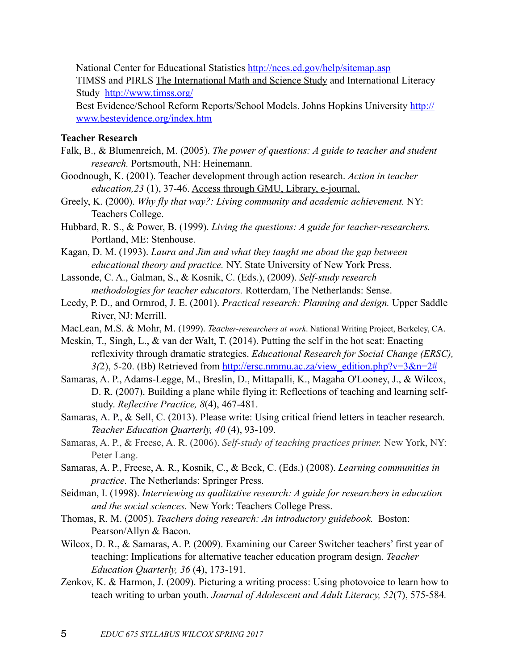National Center for Educational Statistics <http://nces.ed.gov/help/sitemap.asp>

TIMSS and PIRLS [The International Math and Science Study](http://www.timss.org/) and International Literacy Study <http://www.timss.org/>

Best Evidence/School Reform Reports/School Models. Johns Hopkins University [http://](http://www.bestevidence.org/index.htm) [www.bestevidence.org/index.htm](http://www.bestevidence.org/index.htm)

#### **Teacher Research**

- Falk, B., & Blumenreich, M. (2005). *The power of questions: A guide to teacher and student research.* Portsmouth, NH: Heinemann.
- Goodnough, K. (2001). Teacher development through action research. *Action in teacher education,23* (1), 37-46. Access through GMU, Library, e-journal.
- Greely, K. (2000). *Why fly that way?: Living community and academic achievement.* NY: Teachers College.
- Hubbard, R. S., & Power, B. (1999). *Living the questions: A guide for teacher-researchers.*  Portland, ME: Stenhouse.
- Kagan, D. M. (1993). *Laura and Jim and what they taught me about the gap between educational theory and practice.* NY. State University of New York Press.
- Lassonde, C. A., Galman, S., & Kosnik, C. (Eds.), (2009). *Self-study research methodologies for teacher educators.* Rotterdam, The Netherlands: Sense.
- Leedy, P. D., and Ormrod, J. E. (2001). *Practical research: Planning and design.* Upper Saddle River, NJ: Merrill.
- MacLean, M.S. & Mohr, M. (1999). *Teacher-researchers at work*. National Writing Project, Berkeley, CA.
- Meskin, T., Singh, L., & van der Walt, T. (2014). Putting the self in the hot seat: Enacting reflexivity through dramatic strategies. *Educational Research for Social Change (ERSC),*  3(2), 5-20. (Bb) Retrieved from <u>[http://ersc.nmmu.ac.za/view\\_edition.php?v=3&n=2#](http://ersc.nmmu.ac.za/view_edition.php?v=3&n=2)</u>
- Samaras, A. P., Adams-Legge, M., Breslin, D., Mittapalli, K., Magaha O'Looney, J., & Wilcox, D. R. (2007). Building a plane while flying it: Reflections of teaching and learning self study. *Reflective Practice, 8*(4), 467-481.
- Samaras, A. P., & Sell, C. (2013). Please write: Using critical friend letters in teacher research. *Teacher Education Quarterly, 40* (4), 93-109.
- Samaras, A. P., & Freese, A. R. (2006). *Self-study of teaching practices primer.* New York, NY: Peter Lang.
- Samaras, A. P., Freese, A. R., Kosnik, C., & Beck, C. (Eds.) (2008). *Learning communities in practice.* The Netherlands: Springer Press.
- Seidman, I. (1998). *Interviewing as qualitative research: A guide for researchers in education and the social sciences.* New York: Teachers College Press.
- Thomas, R. M. (2005). *Teachers doing research: An introductory guidebook.* Boston: Pearson/Allyn & Bacon.
- Wilcox, D. R., & Samaras, A. P. (2009). Examining our Career Switcher teachers' first year of teaching: Implications for alternative teacher education program design. *Teacher Education Quarterly, 36* (4), 173-191.
- Zenkov, K. & Harmon, J. (2009). Picturing a writing process: Using photovoice to learn how to teach writing to urban youth. *Journal of Adolescent and Adult Literacy, 52*(7), 575-584*.*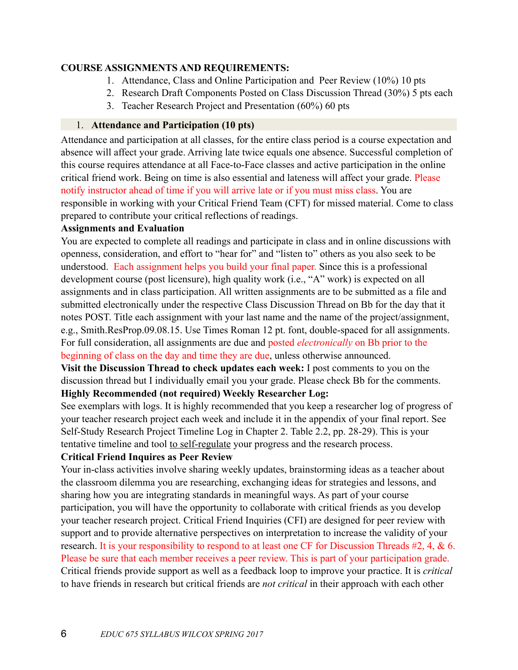#### **COURSE ASSIGNMENTS AND REQUIREMENTS:**

- 1. Attendance, Class and Online Participation and Peer Review (10%) 10 pts
- 2. Research Draft Components Posted on Class Discussion Thread (30%) 5 pts each
- 3. Teacher Research Project and Presentation (60%) 60 pts

#### 1. **Attendance and Participation (10 pts)**

Attendance and participation at all classes, for the entire class period is a course expectation and absence will affect your grade. Arriving late twice equals one absence. Successful completion of this course requires attendance at all Face-to-Face classes and active participation in the online critical friend work. Being on time is also essential and lateness will affect your grade. Please notify instructor ahead of time if you will arrive late or if you must miss class. You are responsible in working with your Critical Friend Team (CFT) for missed material. Come to class prepared to contribute your critical reflections of readings.

### **Assignments and Evaluation**

You are expected to complete all readings and participate in class and in online discussions with openness, consideration, and effort to "hear for" and "listen to" others as you also seek to be understood. Each assignment helps you build your final paper. Since this is a professional development course (post licensure), high quality work (i.e., "A" work) is expected on all assignments and in class participation. All written assignments are to be submitted as a file and submitted electronically under the respective Class Discussion Thread on Bb for the day that it notes POST. Title each assignment with your last name and the name of the project/assignment, e.g., Smith.ResProp.09.08.15. Use Times Roman 12 pt. font, double-spaced for all assignments. For full consideration, all assignments are due and posted *electronically* on Bb prior to the beginning of class on the day and time they are due, unless otherwise announced.

**Visit the Discussion Thread to check updates each week:** I post comments to you on the discussion thread but I individually email you your grade. Please check Bb for the comments. **Highly Recommended (not required) Weekly Researcher Log:** 

See exemplars with logs. It is highly recommended that you keep a researcher log of progress of your teacher research project each week and include it in the appendix of your final report. See Self-Study Research Project Timeline Log in Chapter 2. Table 2.2, pp. 28-29). This is your tentative timeline and tool to self-regulate your progress and the research process.

# **Critical Friend Inquires as Peer Review**

Your in-class activities involve sharing weekly updates, brainstorming ideas as a teacher about the classroom dilemma you are researching, exchanging ideas for strategies and lessons, and sharing how you are integrating standards in meaningful ways. As part of your course participation, you will have the opportunity to collaborate with critical friends as you develop your teacher research project. Critical Friend Inquiries (CFI) are designed for peer review with support and to provide alternative perspectives on interpretation to increase the validity of your research. It is your responsibility to respond to at least one CF for Discussion Threads #2, 4, & 6. Please be sure that each member receives a peer review. This is part of your participation grade. Critical friends provide support as well as a feedback loop to improve your practice. It is *critical* to have friends in research but critical friends are *not critical* in their approach with each other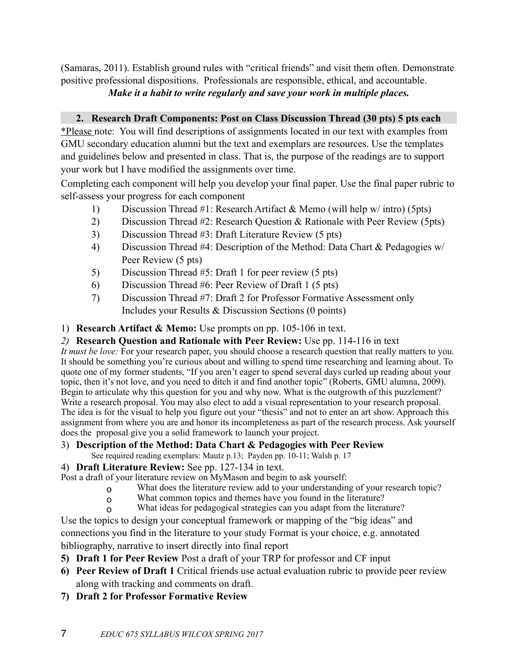(Samaras, 2011). Establish ground rules with "critical friends" and visit them often. Demonstrate positive professional dispositions. Professionals are responsible, ethical, and accountable.

*Make it a habit to write regularly and save your work in multiple places.*

# **2. Research Draft Components: Post on Class Discussion Thread (30 pts) 5 pts each**

\*Please note: You will find descriptions of assignments located in our text with examples from GMU secondary education alumni but the text and exemplars are resources. Use the templates and guidelines below and presented in class. That is, the purpose of the readings are to support your work but I have modified the assignments over time.

Completing each component will help you develop your final paper. Use the final paper rubric to self-assess your progress for each component

- 1) Discussion Thread #1: Research Artifact & Memo (will help w/ intro) (5pts)
- 2) Discussion Thread #2: Research Question & Rationale with Peer Review (5pts)
- 3) Discussion Thread #3: Draft Literature Review (5 pts)
- 4) Discussion Thread #4: Description of the Method: Data Chart & Pedagogies w/ Peer Review (5 pts)
- 5) Discussion Thread #5: Draft 1 for peer review (5 pts)
- 6) Discussion Thread #6: Peer Review of Draft 1 (5 pts)
- 7) Discussion Thread #7: Draft 2 for Professor Formative Assessment only Includes your Results & Discussion Sections (0 points)
- 1) **Research Artifact & Memo:** Use prompts on pp. 105-106 in text.
- *2)* **Research Question and Rationale with Peer Review:** Use pp. 114-116 in text

*It must be love:* For your research paper, you should choose a research question that really matters to you. It should be something you're curious about and willing to spend time researching and learning about. To quote one of my former students, "If you aren't eager to spend several days curled up reading about your topic, then it's not love, and you need to ditch it and find another topic" (Roberts, GMU alumna, 2009). Begin to articulate why this question for you and why now. What is the outgrowth of this puzzlement? Write a research proposal. You may also elect to add a visual representation to your research proposal. The idea is for the visual to help you figure out your "thesis" and not to enter an art show. Approach this assignment from where you are and honor its incompleteness as part of the research process. Ask yourself does the proposal give you a solid framework to launch your project.

- 3) **Description of the Method: Data Chart & Pedagogies with Peer Review** 
	- See required reading exemplars: Mautz p.13; Payden pp. 10-11; Walsh p. 17
- 4) **Draft Literature Review:** See pp. 127-134 in text.

Post a draft of your literature review on MyMason and begin to ask yourself:

- o What does the literature review add to your understanding of your research topic?
- o What common topics and themes have you found in the literature?
- o What ideas for pedagogical strategies can you adapt from the literature?

Use the topics to design your conceptual framework or mapping of the "big ideas" and connections you find in the literature to your study Format is your choice, e.g. annotated bibliography, narrative to insert directly into final report

- **5) Draft 1 for Peer Review** Post a draft of your TRP for professor and CF input
- **6) Peer Review of Draft 1** Critical friends use actual evaluation rubric to provide peer review along with tracking and comments on draft.
- **7) Draft 2 for Professor Formative Review**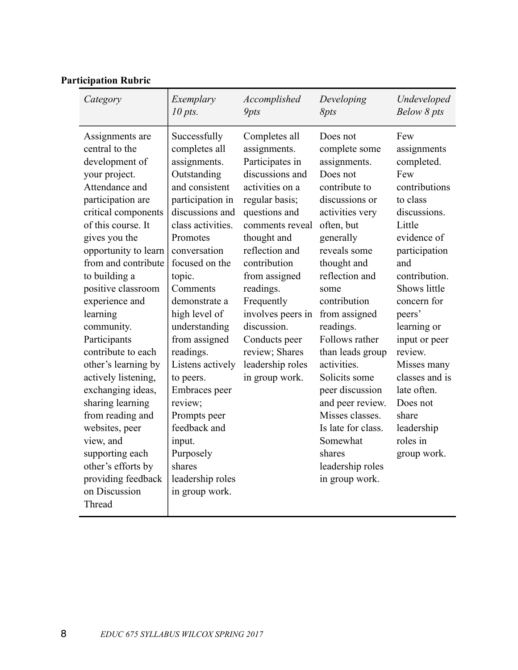| Category                                                                                                                                                                                                                                                                                                                                                                                                                                                                                                                                                                              | Exemplary                                                                                                                                                                                                                                                                                                                                                                                                                                                           | Accomplished                                                                                                                                                                                                                                                                                                                                           | Developing                                                                                                                                                                                                                                                                                                                                                                                                                                                      | Undeveloped                                                                                                                                                                                                                                                                                                                                              |
|---------------------------------------------------------------------------------------------------------------------------------------------------------------------------------------------------------------------------------------------------------------------------------------------------------------------------------------------------------------------------------------------------------------------------------------------------------------------------------------------------------------------------------------------------------------------------------------|---------------------------------------------------------------------------------------------------------------------------------------------------------------------------------------------------------------------------------------------------------------------------------------------------------------------------------------------------------------------------------------------------------------------------------------------------------------------|--------------------------------------------------------------------------------------------------------------------------------------------------------------------------------------------------------------------------------------------------------------------------------------------------------------------------------------------------------|-----------------------------------------------------------------------------------------------------------------------------------------------------------------------------------------------------------------------------------------------------------------------------------------------------------------------------------------------------------------------------------------------------------------------------------------------------------------|----------------------------------------------------------------------------------------------------------------------------------------------------------------------------------------------------------------------------------------------------------------------------------------------------------------------------------------------------------|
|                                                                                                                                                                                                                                                                                                                                                                                                                                                                                                                                                                                       | $10$ pts.                                                                                                                                                                                                                                                                                                                                                                                                                                                           | <b>9pts</b>                                                                                                                                                                                                                                                                                                                                            | <i>Spts</i>                                                                                                                                                                                                                                                                                                                                                                                                                                                     | Below 8 pts                                                                                                                                                                                                                                                                                                                                              |
| Assignments are<br>central to the<br>development of<br>your project.<br>Attendance and<br>participation are<br>critical components<br>of this course. It<br>gives you the<br>opportunity to learn<br>from and contribute<br>to building a<br>positive classroom<br>experience and<br>learning<br>community.<br>Participants<br>contribute to each<br>other's learning by<br>actively listening,<br>exchanging ideas,<br>sharing learning<br>from reading and<br>websites, peer<br>view, and<br>supporting each<br>other's efforts by<br>providing feedback<br>on Discussion<br>Thread | Successfully<br>completes all<br>assignments.<br>Outstanding<br>and consistent<br>participation in<br>discussions and<br>class activities.<br>Promotes<br>conversation<br>focused on the<br>topic.<br>Comments<br>demonstrate a<br>high level of<br>understanding<br>from assigned<br>readings.<br>Listens actively<br>to peers.<br>Embraces peer<br>review;<br>Prompts peer<br>feedback and<br>input.<br>Purposely<br>shares<br>leadership roles<br>in group work. | Completes all<br>assignments.<br>Participates in<br>discussions and<br>activities on a<br>regular basis;<br>questions and<br>comments reveal<br>thought and<br>reflection and<br>contribution<br>from assigned<br>readings.<br>Frequently<br>involves peers in<br>discussion.<br>Conducts peer<br>review; Shares<br>leadership roles<br>in group work. | Does not<br>complete some<br>assignments.<br>Does not<br>contribute to<br>discussions or<br>activities very<br>often, but<br>generally<br>reveals some<br>thought and<br>reflection and<br>some<br>contribution<br>from assigned<br>readings.<br>Follows rather<br>than leads group<br>activities.<br>Solicits some<br>peer discussion<br>and peer review.<br>Misses classes.<br>Is late for class.<br>Somewhat<br>shares<br>leadership roles<br>in group work. | Few<br>assignments<br>completed.<br>Few<br>contributions<br>to class<br>discussions.<br>Little<br>evidence of<br>participation<br>and<br>contribution.<br>Shows little<br>concern for<br>peers'<br>learning or<br>input or peer<br>review.<br>Misses many<br>classes and is<br>late often.<br>Does not<br>share<br>leadership<br>roles in<br>group work. |

# **Participation Rubric**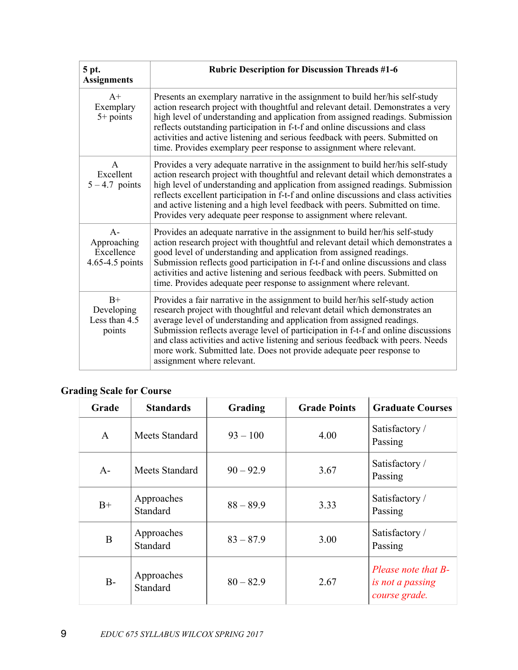| 5 pt.<br><b>Assignments</b>                           | <b>Rubric Description for Discussion Threads #1-6</b>                                                                                                                                                                                                                                                                                                                                                                                                                                                                   |
|-------------------------------------------------------|-------------------------------------------------------------------------------------------------------------------------------------------------------------------------------------------------------------------------------------------------------------------------------------------------------------------------------------------------------------------------------------------------------------------------------------------------------------------------------------------------------------------------|
| $A+$<br>Exemplary<br>$5+$ points                      | Presents an exemplary narrative in the assignment to build her/his self-study<br>action research project with thoughtful and relevant detail. Demonstrates a very<br>high level of understanding and application from assigned readings. Submission<br>reflects outstanding participation in f-t-f and online discussions and class<br>activities and active listening and serious feedback with peers. Submitted on<br>time. Provides exemplary peer response to assignment where relevant.                            |
| $\mathsf{A}$<br>Excellent<br>$5 - 4.7$ points         | Provides a very adequate narrative in the assignment to build her/his self-study<br>action research project with thoughtful and relevant detail which demonstrates a<br>high level of understanding and application from assigned readings. Submission<br>reflects excellent participation in f-t-f and online discussions and class activities<br>and active listening and a high level feedback with peers. Submitted on time.<br>Provides very adequate peer response to assignment where relevant.                  |
| $A -$<br>Approaching<br>Excellence<br>4.65-4.5 points | Provides an adequate narrative in the assignment to build her/his self-study<br>action research project with thoughtful and relevant detail which demonstrates a<br>good level of understanding and application from assigned readings.<br>Submission reflects good participation in f-t-f and online discussions and class<br>activities and active listening and serious feedback with peers. Submitted on<br>time. Provides adequate peer response to assignment where relevant.                                     |
| $B+$<br>Developing<br>Less than 4.5<br>points         | Provides a fair narrative in the assignment to build her/his self-study action<br>research project with thoughtful and relevant detail which demonstrates an<br>average level of understanding and application from assigned readings.<br>Submission reflects average level of participation in f-t-f and online discussions<br>and class activities and active listening and serious feedback with peers. Needs<br>more work. Submitted late. Does not provide adequate peer response to<br>assignment where relevant. |

## **Grading Scale for Course**

| Grade        | <b>Standards</b>       | Grading     | <b>Grade Points</b> | <b>Graduate Courses</b>                                  |
|--------------|------------------------|-------------|---------------------|----------------------------------------------------------|
| $\mathbf{A}$ | Meets Standard         | $93 - 100$  | 4.00                | Satisfactory /<br>Passing                                |
| $A-$         | Meets Standard         | $90 - 92.9$ | 3.67                | Satisfactory /<br>Passing                                |
| $B+$         | Approaches<br>Standard | $88 - 89.9$ | 3.33                | Satisfactory /<br>Passing                                |
| B            | Approaches<br>Standard | $83 - 87.9$ | 3.00                | Satisfactory /<br>Passing                                |
| $B-$         | Approaches<br>Standard | $80 - 82.9$ | 2.67                | Please note that B-<br>is not a passing<br>course grade. |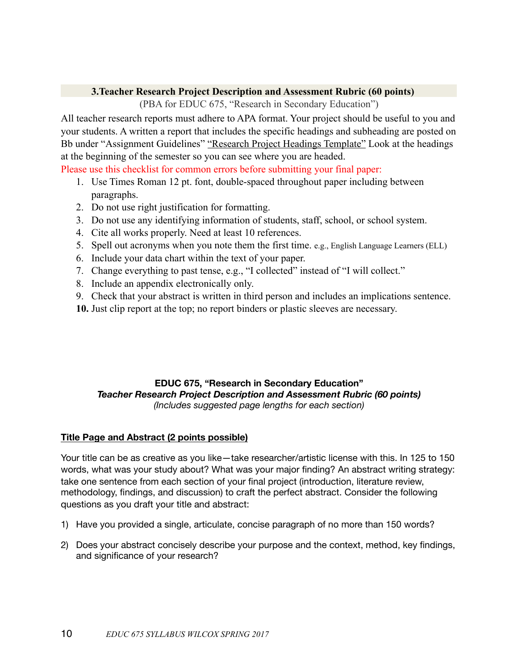#### **3.Teacher Research Project Description and Assessment Rubric (60 points)**

(PBA for EDUC 675, "Research in Secondary Education")

All teacher research reports must adhere to APA format. Your project should be useful to you and your students. A written a report that includes the specific headings and subheading are posted on Bb under "Assignment Guidelines" "Research Project Headings Template" Look at the headings at the beginning of the semester so you can see where you are headed.

Please use this checklist for common errors before submitting your final paper:

- 1. Use Times Roman 12 pt. font, double-spaced throughout paper including between paragraphs.
- 2. Do not use right justification for formatting.
- 3. Do not use any identifying information of students, staff, school, or school system.
- 4. Cite all works properly. Need at least 10 references.
- 5. Spell out acronyms when you note them the first time. e.g., English Language Learners (ELL)
- 6. Include your data chart within the text of your paper.
- 7. Change everything to past tense, e.g., "I collected" instead of "I will collect."
- 8. Include an appendix electronically only.
- 9. Check that your abstract is written in third person and includes an implications sentence.
- **10.** Just clip report at the top; no report binders or plastic sleeves are necessary.

#### **EDUC 675, "Research in Secondary Education"** *Teacher Research Project Description and Assessment Rubric (60 points) (Includes suggested page lengths for each section)*

#### **Title Page and Abstract (2 points possible)**

Your title can be as creative as you like—take researcher/artistic license with this. In 125 to 150 words, what was your study about? What was your major finding? An abstract writing strategy: take one sentence from each section of your final project (introduction, literature review, methodology, findings, and discussion) to craft the perfect abstract. Consider the following questions as you draft your title and abstract:

- 1) Have you provided a single, articulate, concise paragraph of no more than 150 words?
- 2) Does your abstract concisely describe your purpose and the context, method, key findings, and significance of your research?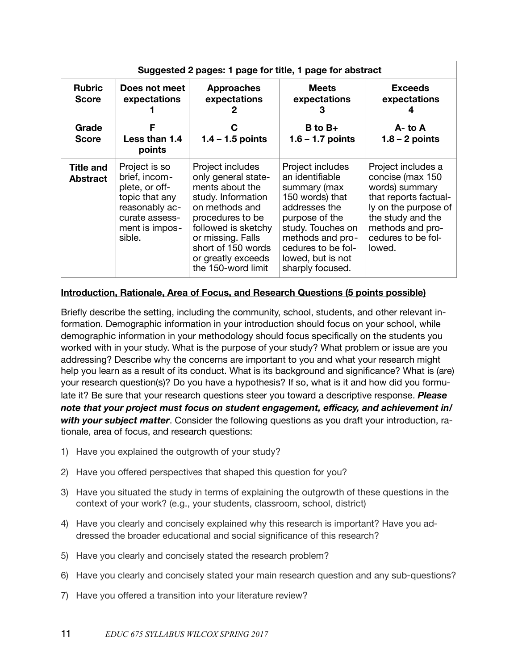|                                     | Suggested 2 pages: 1 page for title, 1 page for abstract                                                                           |                                                                                                                                                                                                                                      |                                                                                                                                                                                                                   |                                                                                                                                                                                    |  |
|-------------------------------------|------------------------------------------------------------------------------------------------------------------------------------|--------------------------------------------------------------------------------------------------------------------------------------------------------------------------------------------------------------------------------------|-------------------------------------------------------------------------------------------------------------------------------------------------------------------------------------------------------------------|------------------------------------------------------------------------------------------------------------------------------------------------------------------------------------|--|
| <b>Rubric</b><br><b>Score</b>       | Does not meet<br>expectations                                                                                                      | <b>Approaches</b><br>expectations<br>2                                                                                                                                                                                               | <b>Meets</b><br>expectations<br>З                                                                                                                                                                                 | <b>Exceeds</b><br>expectations                                                                                                                                                     |  |
| Grade<br><b>Score</b>               | F<br>Less than 1.4<br>points                                                                                                       | C<br>$1.4 - 1.5$ points                                                                                                                                                                                                              | $B$ to $B+$<br>$1.6 - 1.7$ points                                                                                                                                                                                 | $A - to A$<br>$1.8 - 2$ points                                                                                                                                                     |  |
| <b>Title and</b><br><b>Abstract</b> | Project is so<br>brief, incom-<br>plete, or off-<br>topic that any<br>reasonably ac-<br>curate assess-<br>ment is impos-<br>sible. | Project includes<br>only general state-<br>ments about the<br>study. Information<br>on methods and<br>procedures to be<br>followed is sketchy<br>or missing. Falls<br>short of 150 words<br>or greatly exceeds<br>the 150-word limit | Project includes<br>an identifiable<br>summary (max<br>150 words) that<br>addresses the<br>purpose of the<br>study. Touches on<br>methods and pro-<br>cedures to be fol-<br>lowed, but is not<br>sharply focused. | Project includes a<br>concise (max 150<br>words) summary<br>that reports factual-<br>ly on the purpose of<br>the study and the<br>methods and pro-<br>cedures to be fol-<br>lowed. |  |

#### **Introduction, Rationale, Area of Focus, and Research Questions (5 points possible)**

Briefly describe the setting, including the community, school, students, and other relevant information. Demographic information in your introduction should focus on your school, while demographic information in your methodology should focus specifically on the students you worked with in your study. What is the purpose of your study? What problem or issue are you addressing? Describe why the concerns are important to you and what your research might help you learn as a result of its conduct. What is its background and significance? What is (are) your research question(s)? Do you have a hypothesis? If so, what is it and how did you formulate it? Be sure that your research questions steer you toward a descriptive response. *Please note that your project must focus on student engagement, efficacy, and achievement in/ with your subject matter*. Consider the following questions as you draft your introduction, rationale, area of focus, and research questions:

- 1) Have you explained the outgrowth of your study?
- 2) Have you offered perspectives that shaped this question for you?
- 3) Have you situated the study in terms of explaining the outgrowth of these questions in the context of your work? (e.g., your students, classroom, school, district)
- 4) Have you clearly and concisely explained why this research is important? Have you addressed the broader educational and social significance of this research?
- 5) Have you clearly and concisely stated the research problem?
- 6) Have you clearly and concisely stated your main research question and any sub-questions?
- 7) Have you offered a transition into your literature review?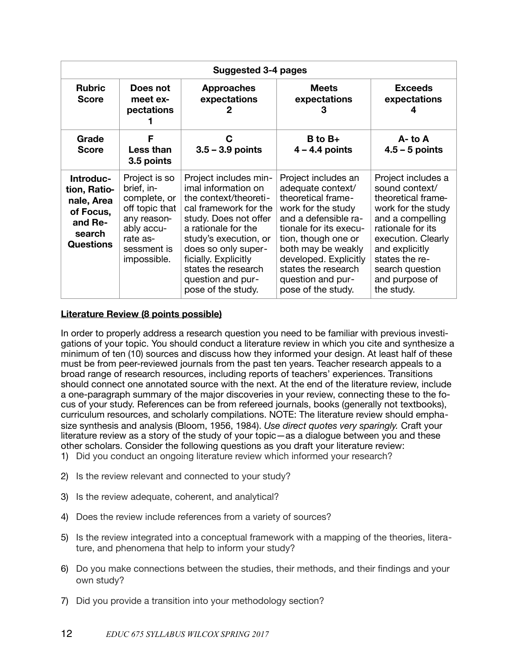|                                                                                               | Suggested 3-4 pages                                                                                                                  |                                                                                                                                                                                                                                                                                          |                                                                                                                                                                                                                                                                                |                                                                                                                                                                                                                                        |  |
|-----------------------------------------------------------------------------------------------|--------------------------------------------------------------------------------------------------------------------------------------|------------------------------------------------------------------------------------------------------------------------------------------------------------------------------------------------------------------------------------------------------------------------------------------|--------------------------------------------------------------------------------------------------------------------------------------------------------------------------------------------------------------------------------------------------------------------------------|----------------------------------------------------------------------------------------------------------------------------------------------------------------------------------------------------------------------------------------|--|
| <b>Rubric</b><br><b>Score</b>                                                                 | Does not<br>meet ex-<br>pectations                                                                                                   | <b>Approaches</b><br>expectations<br>2                                                                                                                                                                                                                                                   | <b>Meets</b><br>expectations<br>3                                                                                                                                                                                                                                              | <b>Exceeds</b><br>expectations                                                                                                                                                                                                         |  |
| Grade<br><b>Score</b>                                                                         | F<br>Less than<br>3.5 points                                                                                                         | C<br>$3.5 - 3.9$ points                                                                                                                                                                                                                                                                  | $B$ to $B+$<br>$4 - 4.4$ points                                                                                                                                                                                                                                                | $A - to A$<br>$4.5 - 5$ points                                                                                                                                                                                                         |  |
| Introduc-<br>tion, Ratio-<br>nale, Area<br>of Focus,<br>and Re-<br>search<br><b>Questions</b> | Project is so<br>brief, in-<br>complete, or<br>off topic that<br>any reason-<br>ably accu-<br>rate as-<br>sessment is<br>impossible. | Project includes min-<br>imal information on<br>the context/theoreti-<br>cal framework for the<br>study. Does not offer<br>a rationale for the<br>study's execution, or<br>does so only super-<br>ficially. Explicitly<br>states the research<br>question and pur-<br>pose of the study. | Project includes an<br>adequate context/<br>theoretical frame-<br>work for the study<br>and a defensible ra-<br>tionale for its execu-<br>tion, though one or<br>both may be weakly<br>developed. Explicitly<br>states the research<br>question and pur-<br>pose of the study. | Project includes a<br>sound context/<br>theoretical frame-<br>work for the study<br>and a compelling<br>rationale for its<br>execution. Clearly<br>and explicitly<br>states the re-<br>search question<br>and purpose of<br>the study. |  |

#### **Literature Review (8 points possible)**

In order to properly address a research question you need to be familiar with previous investigations of your topic. You should conduct a literature review in which you cite and synthesize a minimum of ten (10) sources and discuss how they informed your design. At least half of these must be from peer-reviewed journals from the past ten years. Teacher research appeals to a broad range of research resources, including reports of teachers' experiences. Transitions should connect one annotated source with the next. At the end of the literature review, include a one-paragraph summary of the major discoveries in your review, connecting these to the focus of your study. References can be from refereed journals, books (generally not textbooks), curriculum resources, and scholarly compilations. NOTE: The literature review should emphasize synthesis and analysis (Bloom, 1956, 1984). *Use direct quotes very sparingly.* Craft your literature review as a story of the study of your topic—as a dialogue between you and these other scholars. Consider the following questions as you draft your literature review: 1) Did you conduct an ongoing literature review which informed your research?

- 2) Is the review relevant and connected to your study?
- 3) Is the review adequate, coherent, and analytical?
- 4) Does the review include references from a variety of sources?
- 5) Is the review integrated into a conceptual framework with a mapping of the theories, literature, and phenomena that help to inform your study?
- 6) Do you make connections between the studies, their methods, and their findings and your own study?
- 7) Did you provide a transition into your methodology section?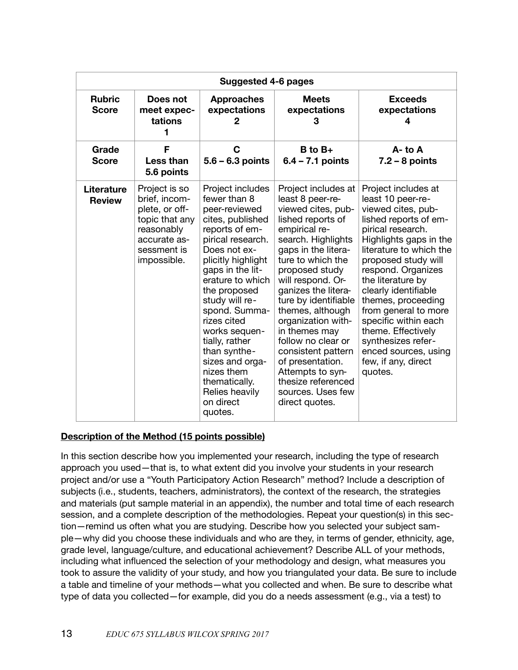|                                    |                                                                                                                                | Suggested 4-6 pages                                                                                                                                                                                                                                                                                                                                                                                         |                                                                                                                                                                                                                                                                                                                                                                                                                                                                         |                                                                                                                                                                                                                                                                                                                                                                                                                                         |
|------------------------------------|--------------------------------------------------------------------------------------------------------------------------------|-------------------------------------------------------------------------------------------------------------------------------------------------------------------------------------------------------------------------------------------------------------------------------------------------------------------------------------------------------------------------------------------------------------|-------------------------------------------------------------------------------------------------------------------------------------------------------------------------------------------------------------------------------------------------------------------------------------------------------------------------------------------------------------------------------------------------------------------------------------------------------------------------|-----------------------------------------------------------------------------------------------------------------------------------------------------------------------------------------------------------------------------------------------------------------------------------------------------------------------------------------------------------------------------------------------------------------------------------------|
| <b>Rubric</b><br><b>Score</b>      | Does not<br>meet expec-<br>tations                                                                                             | <b>Approaches</b><br>expectations                                                                                                                                                                                                                                                                                                                                                                           | <b>Meets</b><br>expectations<br>3                                                                                                                                                                                                                                                                                                                                                                                                                                       | <b>Exceeds</b><br>expectations<br>4                                                                                                                                                                                                                                                                                                                                                                                                     |
| Grade<br><b>Score</b>              | F<br>Less than<br>5.6 points                                                                                                   | $\mathbf C$<br>$5.6 - 6.3$ points                                                                                                                                                                                                                                                                                                                                                                           | $B$ to $B+$<br>$6.4 - 7.1$ points                                                                                                                                                                                                                                                                                                                                                                                                                                       | $A - to A$<br>$7.2 - 8$ points                                                                                                                                                                                                                                                                                                                                                                                                          |
| <b>Literature</b><br><b>Review</b> | Project is so<br>brief, incom-<br>plete, or off-<br>topic that any<br>reasonably<br>accurate as-<br>sessment is<br>impossible. | Project includes<br>fewer than 8<br>peer-reviewed<br>cites, published<br>reports of em-<br>pirical research.<br>Does not ex-<br>plicitly highlight<br>gaps in the lit-<br>erature to which<br>the proposed<br>study will re-<br>spond. Summa-<br>rizes cited<br>works sequen-<br>tially, rather<br>than synthe-<br>sizes and orga-<br>nizes them<br>thematically.<br>Relies heavily<br>on direct<br>quotes. | Project includes at<br>least 8 peer-re-<br>viewed cites, pub-<br>lished reports of<br>empirical re-<br>search. Highlights<br>gaps in the litera-<br>ture to which the<br>proposed study<br>will respond. Or-<br>ganizes the litera-<br>ture by identifiable<br>themes, although<br>organization with-<br>in themes may<br>follow no clear or<br>consistent pattern<br>of presentation.<br>Attempts to syn-<br>thesize referenced<br>sources. Uses few<br>direct quotes. | Project includes at<br>least 10 peer-re-<br>viewed cites, pub-<br>lished reports of em-<br>pirical research.<br>Highlights gaps in the<br>literature to which the<br>proposed study will<br>respond. Organizes<br>the literature by<br>clearly identifiable<br>themes, proceeding<br>from general to more<br>specific within each<br>theme. Effectively<br>synthesizes refer-<br>enced sources, using<br>few, if any, direct<br>quotes. |

#### **Description of the Method (15 points possible)**

In this section describe how you implemented your research, including the type of research approach you used—that is, to what extent did you involve your students in your research project and/or use a "Youth Participatory Action Research" method? Include a description of subjects (i.e., students, teachers, administrators), the context of the research, the strategies and materials (put sample material in an appendix), the number and total time of each research session, and a complete description of the methodologies. Repeat your question(s) in this section—remind us often what you are studying. Describe how you selected your subject sample—why did you choose these individuals and who are they, in terms of gender, ethnicity, age, grade level, language/culture, and educational achievement? Describe ALL of your methods, including what influenced the selection of your methodology and design, what measures you took to assure the validity of your study, and how you triangulated your data. Be sure to include a table and timeline of your methods—what you collected and when. Be sure to describe what type of data you collected—for example, did you do a needs assessment (e.g., via a test) to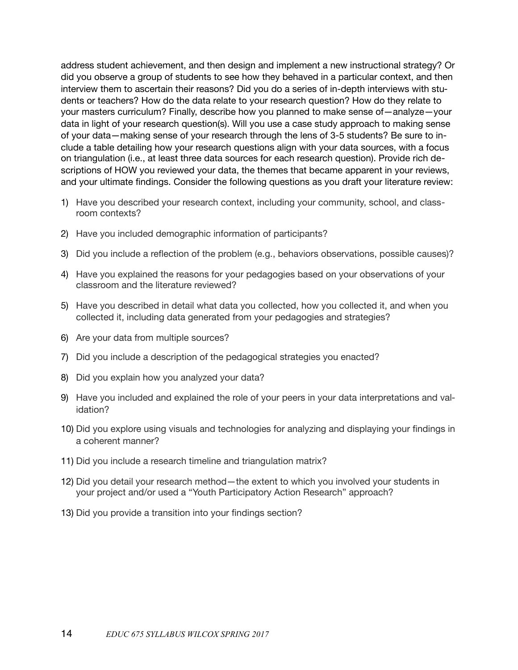address student achievement, and then design and implement a new instructional strategy? Or did you observe a group of students to see how they behaved in a particular context, and then interview them to ascertain their reasons? Did you do a series of in-depth interviews with students or teachers? How do the data relate to your research question? How do they relate to your masters curriculum? Finally, describe how you planned to make sense of—analyze—your data in light of your research question(s). Will you use a case study approach to making sense of your data—making sense of your research through the lens of 3-5 students? Be sure to include a table detailing how your research questions align with your data sources, with a focus on triangulation (i.e., at least three data sources for each research question). Provide rich descriptions of HOW you reviewed your data, the themes that became apparent in your reviews, and your ultimate findings. Consider the following questions as you draft your literature review:

- 1) Have you described your research context, including your community, school, and classroom contexts?
- 2) Have you included demographic information of participants?
- 3) Did you include a reflection of the problem (e.g., behaviors observations, possible causes)?
- 4) Have you explained the reasons for your pedagogies based on your observations of your classroom and the literature reviewed?
- 5) Have you described in detail what data you collected, how you collected it, and when you collected it, including data generated from your pedagogies and strategies?
- 6) Are your data from multiple sources?
- 7) Did you include a description of the pedagogical strategies you enacted?
- 8) Did you explain how you analyzed your data?
- 9) Have you included and explained the role of your peers in your data interpretations and validation?
- 10) Did you explore using visuals and technologies for analyzing and displaying your findings in a coherent manner?
- 11) Did you include a research timeline and triangulation matrix?
- 12) Did you detail your research method—the extent to which you involved your students in your project and/or used a "Youth Participatory Action Research" approach?
- 13) Did you provide a transition into your findings section?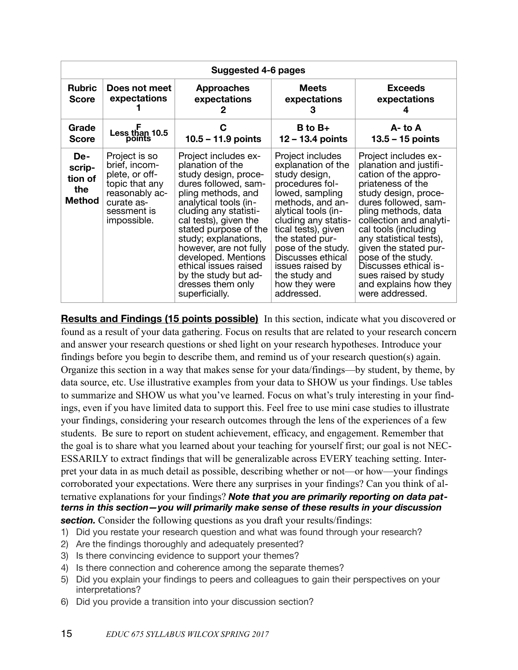|                                           | Suggested 4-6 pages                                                                                                              |                                                                                                                                                                                                                                                                                                                                                                                     |                                                                                                                                                                                                                                                                                                                          |                                                                                                                                                                                                                                                                                                                                                                                              |  |
|-------------------------------------------|----------------------------------------------------------------------------------------------------------------------------------|-------------------------------------------------------------------------------------------------------------------------------------------------------------------------------------------------------------------------------------------------------------------------------------------------------------------------------------------------------------------------------------|--------------------------------------------------------------------------------------------------------------------------------------------------------------------------------------------------------------------------------------------------------------------------------------------------------------------------|----------------------------------------------------------------------------------------------------------------------------------------------------------------------------------------------------------------------------------------------------------------------------------------------------------------------------------------------------------------------------------------------|--|
| <b>Rubric</b><br><b>Score</b>             | Does not meet<br>expectations                                                                                                    | <b>Approaches</b><br>expectations<br>2                                                                                                                                                                                                                                                                                                                                              | <b>Meets</b><br>expectations<br>З                                                                                                                                                                                                                                                                                        | <b>Exceeds</b><br>expectations                                                                                                                                                                                                                                                                                                                                                               |  |
| Grade<br><b>Score</b>                     | Less than $10.5$ points                                                                                                          | С<br>10.5 - 11.9 points                                                                                                                                                                                                                                                                                                                                                             | $B$ to $B+$<br>$12 - 13.4$ points                                                                                                                                                                                                                                                                                        | $A - to A$<br>$13.5 - 15$ points                                                                                                                                                                                                                                                                                                                                                             |  |
| De-<br>scrip-<br>tion of<br>the<br>Method | Project is so<br>brief, incom-<br>plete, or off-<br>topic that any<br>reasonably ac-<br>curate as-<br>sessment is<br>impossible. | Project includes ex-<br>planation of the<br>study design, proce-<br>dures followed, sam-<br>pling methods, and<br>analytical tools (in-<br>cluding any statisti-<br>cal tests), given the<br>stated purpose of the<br>study; explanations,<br>however, are not fully<br>developed. Mentions<br>ethical issues raised<br>by the study but ad-<br>dresses them only<br>superficially. | Project includes<br>explanation of the<br>study design,<br>procedures fol-<br>lowed, sampling<br>methods, and an-<br>alytical tools (in-<br>cluding any statis-<br>tical tests), given<br>the stated pur-<br>pose of the study.<br>Discusses ethical<br>issues raised by<br>the study and<br>how they were<br>addressed. | Project includes ex-<br>planation and justifi-<br>cation of the appro-<br>priateness of the<br>study design, proce-<br>dures followed, sam-<br>pling methods, data<br>collection and analyti-<br>cal tools (including<br>any statistical tests),<br>given the stated pur-<br>pose of the study.<br>Discusses ethical is-<br>sues raised by study<br>and explains how they<br>were addressed. |  |

**Results and Findings (15 points possible)** In this section, indicate what you discovered or found as a result of your data gathering. Focus on results that are related to your research concern and answer your research questions or shed light on your research hypotheses. Introduce your findings before you begin to describe them, and remind us of your research question(s) again. Organize this section in a way that makes sense for your data/findings—by student, by theme, by data source, etc. Use illustrative examples from your data to SHOW us your findings. Use tables to summarize and SHOW us what you've learned. Focus on what's truly interesting in your findings, even if you have limited data to support this. Feel free to use mini case studies to illustrate your findings, considering your research outcomes through the lens of the experiences of a few students. Be sure to report on student achievement, efficacy, and engagement. Remember that the goal is to share what you learned about your teaching for yourself first; our goal is not NEC-ESSARILY to extract findings that will be generalizable across EVERY teaching setting. Interpret your data in as much detail as possible, describing whether or not—or how—your findings corroborated your expectations. Were there any surprises in your findings? Can you think of alternative explanations for your findings? *Note that you are primarily reporting on data patterns in this section—you will primarily make sense of these results in your discussion*  **section.** Consider the following questions as you draft your results/findings:

- 1) Did you restate your research question and what was found through your research?
- 2) Are the findings thoroughly and adequately presented?
- 3) Is there convincing evidence to support your themes?
- 4) Is there connection and coherence among the separate themes?
- 5) Did you explain your findings to peers and colleagues to gain their perspectives on your interpretations?
- 6) Did you provide a transition into your discussion section?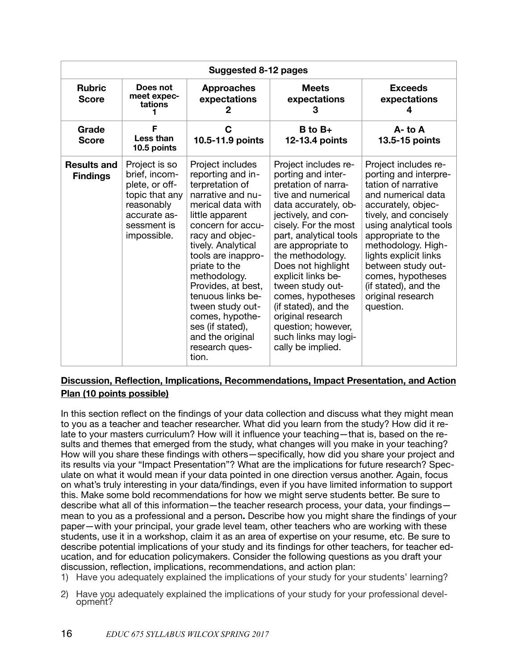|                                       |                                                                                                                                | Suggested 8-12 pages                                                                                                                                                                                                                                                                                                                                                                            |                                                                                                                                                                                                                                                                                                                                                                                                                                         |                                                                                                                                                                                                                                                                                                                                               |
|---------------------------------------|--------------------------------------------------------------------------------------------------------------------------------|-------------------------------------------------------------------------------------------------------------------------------------------------------------------------------------------------------------------------------------------------------------------------------------------------------------------------------------------------------------------------------------------------|-----------------------------------------------------------------------------------------------------------------------------------------------------------------------------------------------------------------------------------------------------------------------------------------------------------------------------------------------------------------------------------------------------------------------------------------|-----------------------------------------------------------------------------------------------------------------------------------------------------------------------------------------------------------------------------------------------------------------------------------------------------------------------------------------------|
| <b>Rubric</b><br><b>Score</b>         | Does not<br>meet expec-<br>tations                                                                                             | <b>Approaches</b><br>expectations<br>2                                                                                                                                                                                                                                                                                                                                                          | <b>Meets</b><br>expectations<br>3                                                                                                                                                                                                                                                                                                                                                                                                       | <b>Exceeds</b><br>expectations<br>4                                                                                                                                                                                                                                                                                                           |
| Grade<br><b>Score</b>                 | F<br>Less than<br>10.5 points                                                                                                  | C<br>10.5-11.9 points                                                                                                                                                                                                                                                                                                                                                                           | $B$ to $B+$<br>12-13.4 points                                                                                                                                                                                                                                                                                                                                                                                                           | $A - t_0 A$<br>13.5-15 points                                                                                                                                                                                                                                                                                                                 |
| <b>Results and</b><br><b>Findings</b> | Project is so<br>brief, incom-<br>plete, or off-<br>topic that any<br>reasonably<br>accurate as-<br>sessment is<br>impossible. | Project includes<br>reporting and in-<br>terpretation of<br>narrative and nu-<br>merical data with<br>little apparent<br>concern for accu-<br>racy and objec-<br>tively. Analytical<br>tools are inappro-<br>priate to the<br>methodology.<br>Provides, at best,<br>tenuous links be-<br>tween study out-<br>comes, hypothe-<br>ses (if stated),<br>and the original<br>research ques-<br>tion. | Project includes re-<br>porting and inter-<br>pretation of narra-<br>tive and numerical<br>data accurately, ob-<br>jectively, and con-<br>cisely. For the most<br>part, analytical tools<br>are appropriate to<br>the methodology.<br>Does not highlight<br>explicit links be-<br>tween study out-<br>comes, hypotheses<br>(if stated), and the<br>original research<br>question; however,<br>such links may logi-<br>cally be implied. | Project includes re-<br>porting and interpre-<br>tation of narrative<br>and numerical data<br>accurately, objec-<br>tively, and concisely<br>using analytical tools<br>appropriate to the<br>methodology. High-<br>lights explicit links<br>between study out-<br>comes, hypotheses<br>(if stated), and the<br>original research<br>question. |

### **Discussion, Reflection, Implications, Recommendations, Impact Presentation, and Action Plan (10 points possible)**

In this section reflect on the findings of your data collection and discuss what they might mean to you as a teacher and teacher researcher. What did you learn from the study? How did it relate to your masters curriculum? How will it influence your teaching—that is, based on the results and themes that emerged from the study, what changes will you make in your teaching? How will you share these findings with others—specifically, how did you share your project and its results via your "Impact Presentation"? What are the implications for future research? Speculate on what it would mean if your data pointed in one direction versus another. Again, focus on what's truly interesting in your data/findings, even if you have limited information to support this. Make some bold recommendations for how we might serve students better. Be sure to describe what all of this information—the teacher research process, your data, your findings mean to you as a professional and a person**.** Describe how you might share the findings of your paper—with your principal, your grade level team, other teachers who are working with these students, use it in a workshop, claim it as an area of expertise on your resume, etc. Be sure to describe potential implications of your study and its findings for other teachers, for teacher education, and for education policymakers. Consider the following questions as you draft your discussion, reflection, implications, recommendations, and action plan:

- 1) Have you adequately explained the implications of your study for your students' learning?
- 2) Have you adequately explained the implications of your study for your professional devel- opment?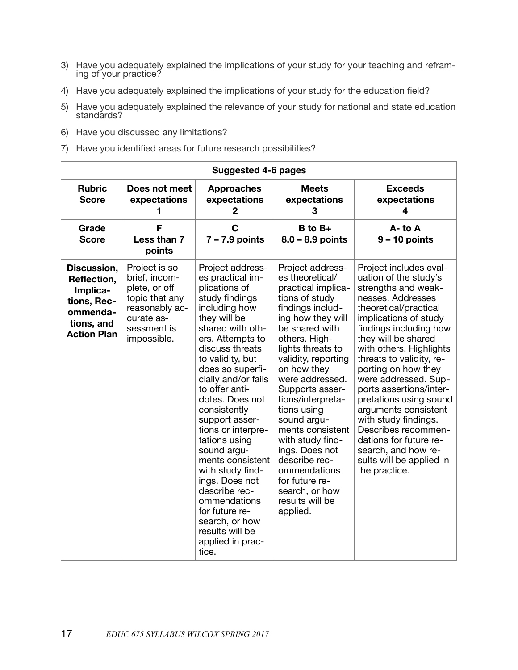- 3) Have you adequately explained the implications of your study for your teaching and refram- ing of your practice?
- 4) Have you adequately explained the implications of your study for the education field?
- 5) Have you adequately explained the relevance of your study for national and state education standárds?
- 6) Have you discussed any limitations?
- 7) Have you identified areas for future research possibilities?

|                                                                                                       | Suggested 4-6 pages                                                                                                             |                                                                                                                                                                                                                                                                                                                                                                                                                                                                                                                                                |                                                                                                                                                                                                                                                                                                                                                                                                                                                                           |                                                                                                                                                                                                                                                                                                                                                                                                                                                                                                                                |
|-------------------------------------------------------------------------------------------------------|---------------------------------------------------------------------------------------------------------------------------------|------------------------------------------------------------------------------------------------------------------------------------------------------------------------------------------------------------------------------------------------------------------------------------------------------------------------------------------------------------------------------------------------------------------------------------------------------------------------------------------------------------------------------------------------|---------------------------------------------------------------------------------------------------------------------------------------------------------------------------------------------------------------------------------------------------------------------------------------------------------------------------------------------------------------------------------------------------------------------------------------------------------------------------|--------------------------------------------------------------------------------------------------------------------------------------------------------------------------------------------------------------------------------------------------------------------------------------------------------------------------------------------------------------------------------------------------------------------------------------------------------------------------------------------------------------------------------|
| <b>Rubric</b><br><b>Score</b>                                                                         | Does not meet<br>expectations<br>1                                                                                              | <b>Approaches</b><br>expectations<br>2                                                                                                                                                                                                                                                                                                                                                                                                                                                                                                         | <b>Meets</b><br>expectations<br>3                                                                                                                                                                                                                                                                                                                                                                                                                                         | <b>Exceeds</b><br>expectations<br>4                                                                                                                                                                                                                                                                                                                                                                                                                                                                                            |
| Grade<br><b>Score</b>                                                                                 | F<br>Less than 7<br>points                                                                                                      | $\mathbf C$<br>$7 - 7.9$ points                                                                                                                                                                                                                                                                                                                                                                                                                                                                                                                | $B$ to $B+$<br>$8.0 - 8.9$ points                                                                                                                                                                                                                                                                                                                                                                                                                                         | $A - to A$<br>$9 - 10$ points                                                                                                                                                                                                                                                                                                                                                                                                                                                                                                  |
| Discussion,<br>Reflection,<br>Implica-<br>tions, Rec-<br>ommenda-<br>tions, and<br><b>Action Plan</b> | Project is so<br>brief, incom-<br>plete, or off<br>topic that any<br>reasonably ac-<br>curate as-<br>sessment is<br>impossible. | Project address-<br>es practical im-<br>plications of<br>study findings<br>including how<br>they will be<br>shared with oth-<br>ers. Attempts to<br>discuss threats<br>to validity, but<br>does so superfi-<br>cially and/or fails<br>to offer anti-<br>dotes. Does not<br>consistently<br>support asser-<br>tions or interpre-<br>tations using<br>sound argu-<br>ments consistent<br>with study find-<br>ings. Does not<br>describe rec-<br>ommendations<br>for future re-<br>search, or how<br>results will be<br>applied in prac-<br>tice. | Project address-<br>es theoretical/<br>practical implica-<br>tions of study<br>findings includ-<br>ing how they will<br>be shared with<br>others. High-<br>lights threats to<br>validity, reporting<br>on how they<br>were addressed.<br>Supports asser-<br>tions/interpreta-<br>tions using<br>sound argu-<br>ments consistent<br>with study find-<br>ings. Does not<br>describe rec-<br>ommendations<br>for future re-<br>search, or how<br>results will be<br>applied. | Project includes eval-<br>uation of the study's<br>strengths and weak-<br>nesses. Addresses<br>theoretical/practical<br>implications of study<br>findings including how<br>they will be shared<br>with others. Highlights<br>threats to validity, re-<br>porting on how they<br>were addressed. Sup-<br>ports assertions/inter-<br>pretations using sound<br>arguments consistent<br>with study findings.<br>Describes recommen-<br>dations for future re-<br>search, and how re-<br>sults will be applied in<br>the practice. |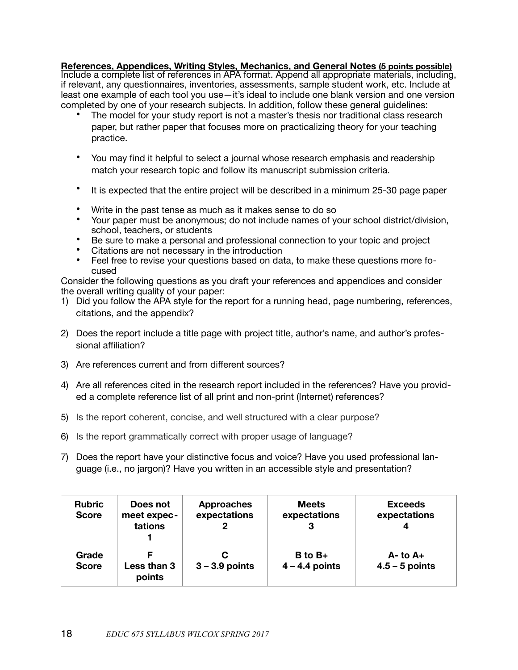**References, Appendices, Writing Styles, Mechanics, and General Notes (5 points possible)** Include a complete list of references in APA format. Append all appropriate materials, including, if relevant, any questionnaires, inventories, assessments, sample student work, etc. Include at least one example of each tool you use—it's ideal to include one blank version and one version completed by one of your research subjects. In addition, follow these general guidelines:

- The model for your study report is not a master's thesis nor traditional class research paper, but rather paper that focuses more on practicalizing theory for your teaching practice.
- You may find it helpful to select a journal whose research emphasis and readership match your research topic and follow its manuscript submission criteria.
- It is expected that the entire project will be described in a minimum 25-30 page paper
- Write in the past tense as much as it makes sense to do so
- Your paper must be anonymous; do not include names of your school district/division, school, teachers, or students
- Be sure to make a personal and professional connection to your topic and project
- Citations are not necessary in the introduction
- Feel free to revise your questions based on data, to make these questions more focused

Consider the following questions as you draft your references and appendices and consider the overall writing quality of your paper:

- 1) Did you follow the APA style for the report for a running head, page numbering, references, citations, and the appendix?
- 2) Does the report include a title page with project title, author's name, and author's professional affiliation?
- 3) Are references current and from different sources?
- 4) Are all references cited in the research report included in the references? Have you provided a complete reference list of all print and non-print (Internet) references?
- 5) Is the report coherent, concise, and well structured with a clear purpose?
- 6) Is the report grammatically correct with proper usage of language?
- 7) Does the report have your distinctive focus and voice? Have you used professional language (i.e., no jargon)? Have you written in an accessible style and presentation?

| <b>Rubric</b><br><b>Score</b> | Does not<br>meet expec-<br>tations | <b>Approaches</b><br>expectations | <b>Meets</b><br>expectations | <b>Exceeds</b><br>expectations |
|-------------------------------|------------------------------------|-----------------------------------|------------------------------|--------------------------------|
| Grade                         | Less than 3                        | $3 - 3.9$ points                  | $B$ to $B+$                  | $A - t_0 A +$                  |
| <b>Score</b>                  | points                             |                                   | $4 - 4.4$ points             | $4.5 - 5$ points               |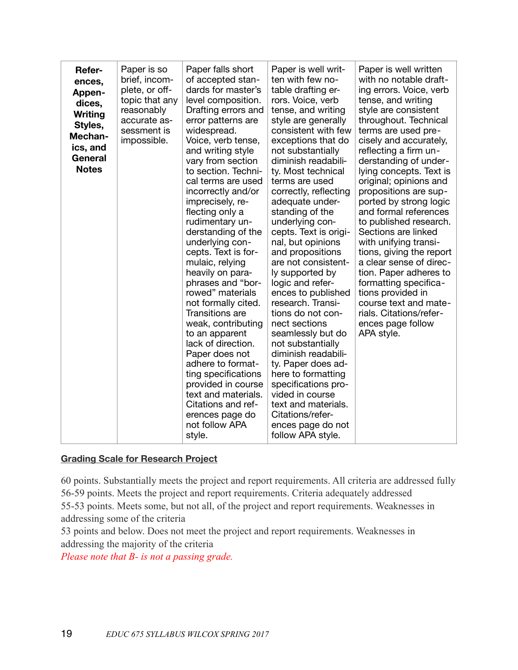| Refer-<br>ences,<br>Appen-<br>dices,<br>Writing<br>Styles,<br>Mechan-<br>ics, and<br>General<br><b>Notes</b> | Paper is so<br>brief, incom-<br>plete, or off-<br>topic that any<br>reasonably<br>accurate as-<br>sessment is<br>impossible. | Paper falls short<br>of accepted stan-<br>dards for master's<br>level composition.<br>Drafting errors and<br>error patterns are<br>widespread.<br>Voice, verb tense,<br>and writing style<br>vary from section<br>to section. Techni-<br>cal terms are used<br>incorrectly and/or<br>imprecisely, re-<br>flecting only a<br>rudimentary un-<br>derstanding of the<br>underlying con-<br>cepts. Text is for-<br>mulaic, relying<br>heavily on para-<br>phrases and "bor-<br>rowed" materials<br>not formally cited.<br>Transitions are<br>weak, contributing | Paper is well writ-<br>ten with few no-<br>table drafting er-<br>rors. Voice, verb<br>tense, and writing<br>style are generally<br>consistent with few<br>exceptions that do<br>not substantially<br>diminish readabili-<br>ty. Most technical<br>terms are used<br>correctly, reflecting<br>adequate under-<br>standing of the<br>underlying con-<br>cepts. Text is origi-<br>nal, but opinions<br>and propositions<br>are not consistent-<br>ly supported by<br>logic and refer-<br>ences to published<br>research. Transi-<br>tions do not con-<br>nect sections | Paper is well written<br>with no notable draft-<br>ing errors. Voice, verb<br>tense, and writing<br>style are consistent<br>throughout. Technical<br>terms are used pre-<br>cisely and accurately,<br>reflecting a firm un-<br>derstanding of under-<br>lying concepts. Text is<br>original; opinions and<br>propositions are sup-<br>ported by strong logic<br>and formal references<br>to published research.<br>Sections are linked<br>with unifying transi-<br>tions, giving the report<br>a clear sense of direc-<br>tion. Paper adheres to<br>formatting specifica-<br>tions provided in<br>course text and mate-<br>rials. Citations/refer-<br>ences page follow |
|--------------------------------------------------------------------------------------------------------------|------------------------------------------------------------------------------------------------------------------------------|-------------------------------------------------------------------------------------------------------------------------------------------------------------------------------------------------------------------------------------------------------------------------------------------------------------------------------------------------------------------------------------------------------------------------------------------------------------------------------------------------------------------------------------------------------------|---------------------------------------------------------------------------------------------------------------------------------------------------------------------------------------------------------------------------------------------------------------------------------------------------------------------------------------------------------------------------------------------------------------------------------------------------------------------------------------------------------------------------------------------------------------------|-------------------------------------------------------------------------------------------------------------------------------------------------------------------------------------------------------------------------------------------------------------------------------------------------------------------------------------------------------------------------------------------------------------------------------------------------------------------------------------------------------------------------------------------------------------------------------------------------------------------------------------------------------------------------|
|                                                                                                              |                                                                                                                              | to an apparent<br>lack of direction.<br>Paper does not<br>adhere to format-<br>ting specifications<br>provided in course<br>text and materials.<br>Citations and ref-<br>erences page do<br>not follow APA<br>style.                                                                                                                                                                                                                                                                                                                                        | seamlessly but do<br>not substantially<br>diminish readabili-<br>ty. Paper does ad-<br>here to formatting<br>specifications pro-<br>vided in course<br>text and materials.<br>Citations/refer-<br>ences page do not<br>follow APA style.                                                                                                                                                                                                                                                                                                                            | APA style.                                                                                                                                                                                                                                                                                                                                                                                                                                                                                                                                                                                                                                                              |

#### **Grading Scale for Research Project**

60 points. Substantially meets the project and report requirements. All criteria are addressed fully 56-59 points. Meets the project and report requirements. Criteria adequately addressed 55-53 points. Meets some, but not all, of the project and report requirements. Weaknesses in addressing some of the criteria

53 points and below. Does not meet the project and report requirements. Weaknesses in addressing the majority of the criteria

*Please note that B- is not a passing grade.*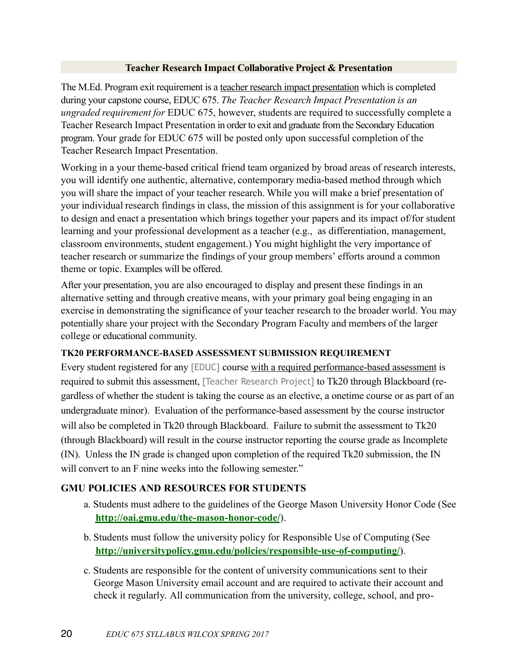#### **Teacher Research Impact Collaborative Project & Presentation**

The M.Ed. Program exit requirement is a teacher research impact presentation which is completed during your capstone course, EDUC 675. *The Teacher Research Impact Presentation is an ungraded requirement for* EDUC 675, however, students are required to successfully complete a Teacher Research Impact Presentation in order to exit and graduate from the Secondary Education program. Your grade for EDUC 675 will be posted only upon successful completion of the Teacher Research Impact Presentation.

Working in a your theme-based critical friend team organized by broad areas of research interests, you will identify one authentic, alternative, contemporary media-based method through which you will share the impact of your teacher research. While you will make a brief presentation of your individual research findings in class, the mission of this assignment is for your collaborative to design and enact a presentation which brings together your papers and its impact of/for student learning and your professional development as a teacher (e.g., as differentiation, management, classroom environments, student engagement.) You might highlight the very importance of teacher research or summarize the findings of your group members' efforts around a common theme or topic. Examples will be offered.

After your presentation, you are also encouraged to display and present these findings in an alternative setting and through creative means, with your primary goal being engaging in an exercise in demonstrating the significance of your teacher research to the broader world. You may potentially share your project with the Secondary Program Faculty and members of the larger college or educational community.

#### **TK20 PERFORMANCE-BASED ASSESSMENT SUBMISSION REQUIREMENT**

Every student registered for any [EDUC] course with a required performance-based assessment is required to submit this assessment, [Teacher Research Project] to Tk20 through Blackboard (regardless of whether the student is taking the course as an elective, a onetime course or as part of an undergraduate minor). Evaluation of the performance-based assessment by the course instructor will also be completed in Tk20 through Blackboard. Failure to submit the assessment to Tk20 (through Blackboard) will result in the course instructor reporting the course grade as Incomplete (IN). Unless the IN grade is changed upon completion of the required Tk20 submission, the IN will convert to an F nine weeks into the following semester."

### **GMU POLICIES AND RESOURCES FOR STUDENTS**

- a. Students must adhere to the guidelines of the George Mason University Honor Code (See **<http://oai.gmu.edu/the-mason-honor-code/>**).
- b. Students must follow the university policy for Responsible Use of Computing (See **<http://universitypolicy.gmu.edu/policies/responsible-use-of-computing/>**).
- c. Students are responsible for the content of university communications sent to their George Mason University email account and are required to activate their account and check it regularly. All communication from the university, college, school, and pro-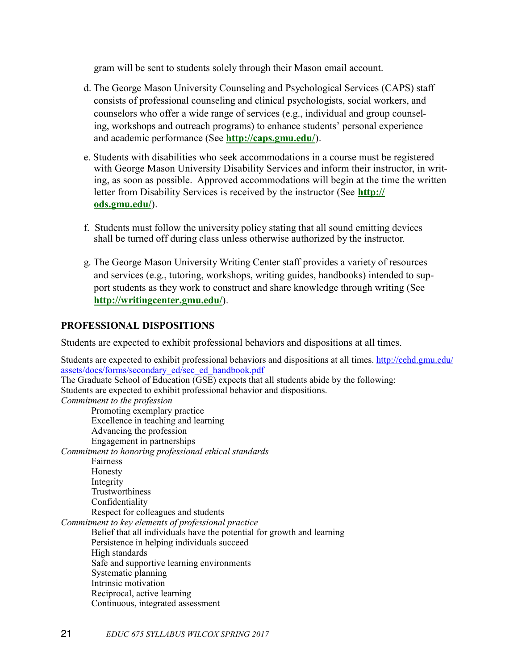gram will be sent to students solely through their Mason email account.

- d. The George Mason University Counseling and Psychological Services (CAPS) staff consists of professional counseling and clinical psychologists, social workers, and counselors who offer a wide range of services (e.g., individual and group counseling, workshops and outreach programs) to enhance students' personal experience and academic performance (See **<http://caps.gmu.edu/>**).
- e. Students with disabilities who seek accommodations in a course must be registered with George Mason University Disability Services and inform their instructor, in writing, as soon as possible. Approved accommodations will begin at the time the written letter from Disability Services is received by the instructor (See **[http://](http://ods.gmu.edu/) [ods.gmu.edu/](http://ods.gmu.edu/)**).
- f. Students must follow the university policy stating that all sound emitting devices shall be turned off during class unless otherwise authorized by the instructor.
- g. The George Mason University Writing Center staff provides a variety of resources and services (e.g., tutoring, workshops, writing guides, handbooks) intended to support students as they work to construct and share knowledge through writing (See **<http://writingcenter.gmu.edu/>**).

#### **PROFESSIONAL DISPOSITIONS**

Students are expected to exhibit professional behaviors and dispositions at all times.

Students are expected to exhibit professional behaviors and dispositions at all times. [http://cehd.gmu.edu/](http://cehd.gmu.edu/assets/docs/forms/secondary_ed/sec_ed_handbook.pdf) [assets/docs/forms/secondary\\_ed/sec\\_ed\\_handbook.pdf](http://cehd.gmu.edu/assets/docs/forms/secondary_ed/sec_ed_handbook.pdf) The Graduate School of Education (GSE) expects that all students abide by the following: Students are expected to exhibit professional behavior and dispositions. *Commitment to the profession* Promoting exemplary practice Excellence in teaching and learning Advancing the profession Engagement in partnerships *Commitment to honoring professional ethical standards* Fairness Honesty Integrity Trustworthiness Confidentiality Respect for colleagues and students *Commitment to key elements of professional practice* Belief that all individuals have the potential for growth and learning Persistence in helping individuals succeed High standards Safe and supportive learning environments Systematic planning Intrinsic motivation Reciprocal, active learning Continuous, integrated assessment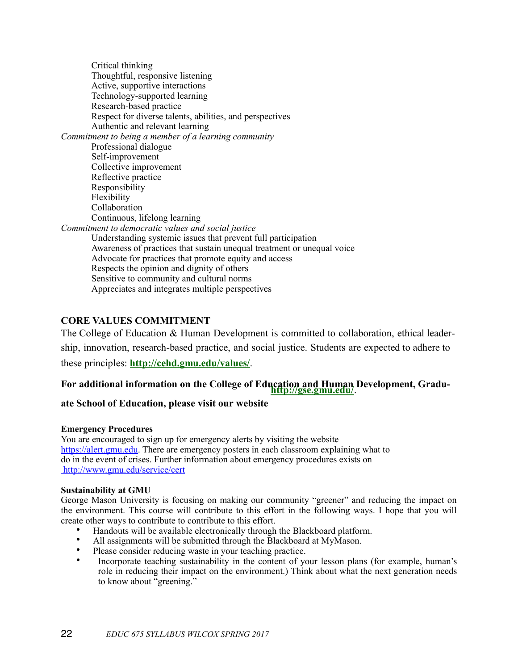Critical thinking Thoughtful, responsive listening Active, supportive interactions Technology-supported learning Research-based practice Respect for diverse talents, abilities, and perspectives Authentic and relevant learning *Commitment to being a member of a learning community* Professional dialogue Self-improvement Collective improvement Reflective practice Responsibility Flexibility Collaboration Continuous, lifelong learning *Commitment to democratic values and social justice* Understanding systemic issues that prevent full participation Awareness of practices that sustain unequal treatment or unequal voice Advocate for practices that promote equity and access Respects the opinion and dignity of others Sensitive to community and cultural norms Appreciates and integrates multiple perspectives

#### **CORE VALUES COMMITMENT**

The College of Education & Human Development is committed to collaboration, ethical leadership, innovation, research-based practice, and social justice. Students are expected to adhere to these principles: **<http://cehd.gmu.edu/values/>**.

# **For additional information on the College of Education and Human Development, Gradu-<http://gse.gmu.edu/>**.

#### **ate School of Education, please visit our website**

#### **Emergency Procedures**

You are encouraged to sign up for emergency alerts by visiting the website [https://alert.gmu.edu](https://alert.gmu.edu/). There are emergency posters in each classroom explaining what to do in the event of crises. Further information about emergency procedures exists on http://www.gmu.edu/service/cert

#### **Sustainability at GMU**

George Mason University is focusing on making our community "greener" and reducing the impact on the environment. This course will contribute to this effort in the following ways. I hope that you will create other ways to contribute to contribute to this effort.

- Handouts will be available electronically through the Blackboard platform.
- All assignments will be submitted through the Blackboard at MyMason.
- Please consider reducing waste in your teaching practice.
- Incorporate teaching sustainability in the content of your lesson plans (for example, human's role in reducing their impact on the environment.) Think about what the next generation needs to know about "greening."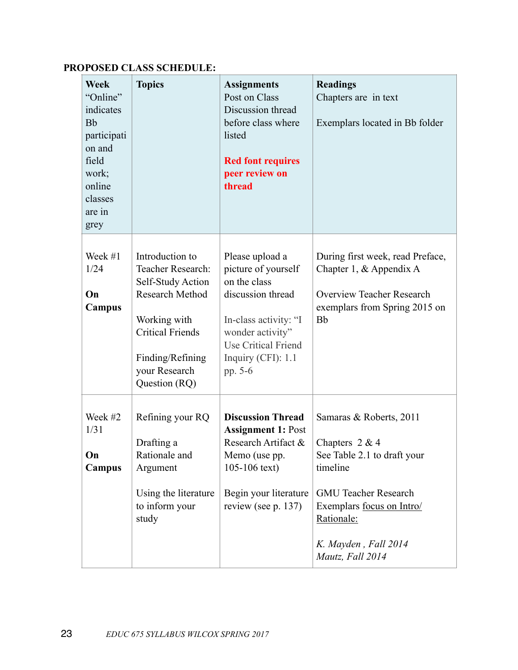#### **Week** "Online" indicates Bb participati on and field work; online classes are in grey **Topics Assignments** Post on Class Discussion thread before class where listed **Red font requires peer review on thread Readings** Chapters are in text Exemplars located in Bb folder Week #1 1/24 **On Campus** Introduction to Teacher Research: Self-Study Action Research Method Working with Critical Friends Finding/Refining your Research Question (RQ) Please upload a picture of yourself on the class discussion thread In-class activity: "I wonder activity" Use Critical Friend Inquiry (CFI): 1.1 pp. 5-6 During first week, read Preface, Chapter 1, & Appendix A Overview Teacher Research exemplars from Spring 2015 on Bb Week #2 1/31 **On Campus** Refining your RQ Drafting a Rationale and Argument Using the literature to inform your study **Discussion Thread Assignment 1:** Post Research Artifact & Memo (use pp. 105-106 text) Begin your literature review (see p. 137) Samaras & Roberts, 2011 Chapters 2 & 4 See Table 2.1 to draft your timeline GMU Teacher Research Exemplars focus on Intro/ Rationale: *K. Mayden , Fall 2014 Mautz, Fall 2014*

#### **PROPOSED CLASS SCHEDULE:**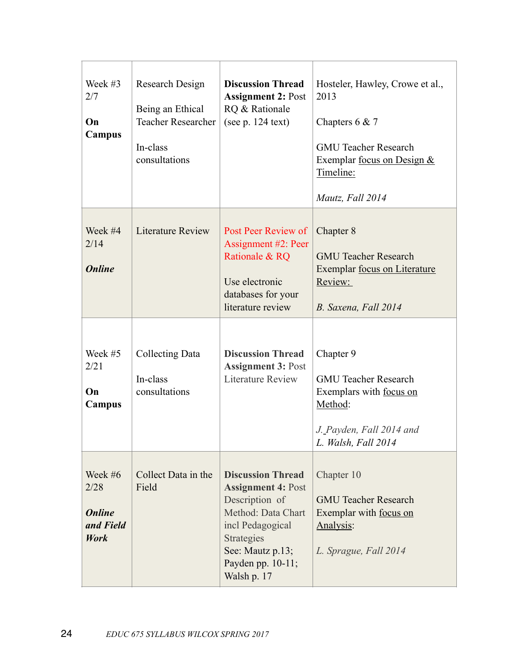| Week #3<br>2/7<br>On<br><b>Campus</b>                        | Research Design<br>Being an Ethical<br><b>Teacher Researcher</b><br>In-class<br>consultations | <b>Discussion Thread</b><br><b>Assignment 2: Post</b><br>RQ & Rationale<br>(see $p. 124$ text)                                                                                          | Hosteler, Hawley, Crowe et al.,<br>2013<br>Chapters $6 & 7$<br><b>GMU Teacher Research</b><br>Exemplar <u>focus on Design &amp;</u><br>Timeline:<br>Mautz, Fall 2014 |
|--------------------------------------------------------------|-----------------------------------------------------------------------------------------------|-----------------------------------------------------------------------------------------------------------------------------------------------------------------------------------------|----------------------------------------------------------------------------------------------------------------------------------------------------------------------|
| Week #4<br>2/14<br><b>Online</b>                             | <b>Literature Review</b>                                                                      | Post Peer Review of<br>Assignment #2: Peer<br>Rationale & RQ<br>Use electronic<br>databases for your<br>literature review                                                               | Chapter 8<br><b>GMU Teacher Research</b><br>Exemplar focus on Literature<br>Review:<br>B. Saxena, Fall 2014                                                          |
| Week #5<br>2/21<br>On<br>Campus                              | <b>Collecting Data</b><br>In-class<br>consultations                                           | <b>Discussion Thread</b><br><b>Assignment 3: Post</b><br><b>Literature Review</b>                                                                                                       | Chapter 9<br><b>GMU Teacher Research</b><br>Exemplars with focus on<br>Method:<br>J. Payden, Fall 2014 and<br>L. Walsh, Fall 2014                                    |
| Week #6<br>2/28<br><b>Online</b><br>and Field<br><b>Work</b> | Collect Data in the<br>Field                                                                  | <b>Discussion Thread</b><br><b>Assignment 4: Post</b><br>Description of<br>Method: Data Chart<br>incl Pedagogical<br>Strategies<br>See: Mautz p.13;<br>Payden pp. 10-11;<br>Walsh p. 17 | Chapter 10<br><b>GMU Teacher Research</b><br>Exemplar with focus on<br>Analysis:<br>L. Sprague, Fall 2014                                                            |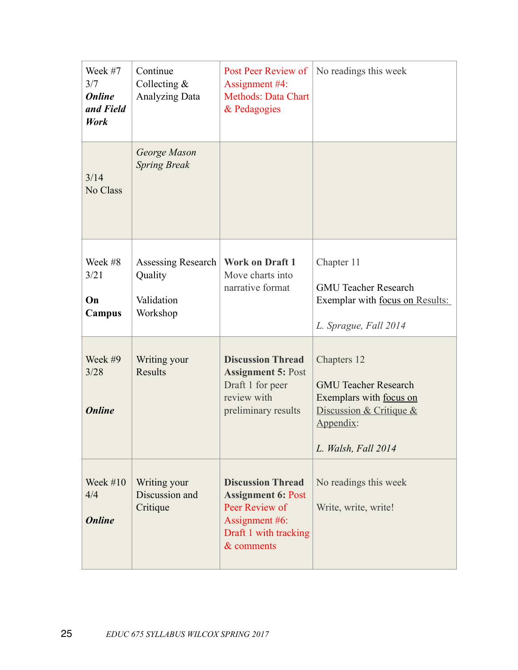| Week #7<br>3/7<br><b>Online</b><br>and Field<br><b>Work</b> | Continue<br>Collecting $&$<br><b>Analyzing Data</b>     | Post Peer Review of<br>Assignment #4:<br><b>Methods: Data Chart</b><br>& Pedagogies                                              | No readings this week                                                                                                                  |
|-------------------------------------------------------------|---------------------------------------------------------|----------------------------------------------------------------------------------------------------------------------------------|----------------------------------------------------------------------------------------------------------------------------------------|
| 3/14<br>No Class                                            | George Mason<br><b>Spring Break</b>                     |                                                                                                                                  |                                                                                                                                        |
| Week #8<br>3/21<br>On<br><b>Campus</b>                      | Assessing Research<br>Quality<br>Validation<br>Workshop | <b>Work on Draft 1</b><br>Move charts into<br>narrative format                                                                   | Chapter 11<br><b>GMU Teacher Research</b><br>Exemplar with focus on Results:<br>L. Sprague, Fall 2014                                  |
| Week #9<br>3/28<br><b>Online</b>                            | Writing your<br><b>Results</b>                          | <b>Discussion Thread</b><br><b>Assignment 5: Post</b><br>Draft 1 for peer<br>review with<br>preliminary results                  | Chapters 12<br><b>GMU Teacher Research</b><br>Exemplars with focus on<br>Discussion & Critique $&$<br>Appendix:<br>L. Walsh, Fall 2014 |
| Week $#10$<br>4/4<br><b>Online</b>                          | Writing your<br>Discussion and<br>Critique              | <b>Discussion Thread</b><br><b>Assignment 6: Post</b><br>Peer Review of<br>Assignment #6:<br>Draft 1 with tracking<br>& comments | No readings this week<br>Write, write, write!                                                                                          |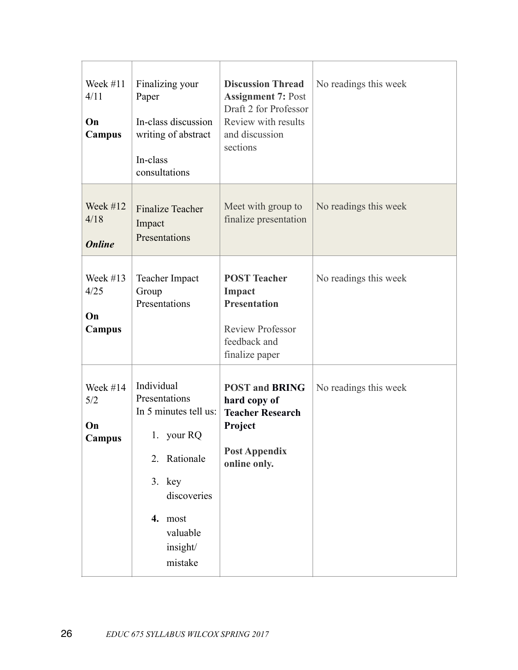| Week $#11$<br>4/11<br>On<br>Campus  | Finalizing your<br>Paper<br>In-class discussion<br>writing of abstract<br>In-class<br>consultations                                                         | <b>Discussion Thread</b><br><b>Assignment 7: Post</b><br>Draft 2 for Professor<br>Review with results<br>and discussion<br>sections | No readings this week |
|-------------------------------------|-------------------------------------------------------------------------------------------------------------------------------------------------------------|-------------------------------------------------------------------------------------------------------------------------------------|-----------------------|
| Week $#12$<br>4/18<br><b>Online</b> | <b>Finalize Teacher</b><br>Impact<br>Presentations                                                                                                          | Meet with group to<br>finalize presentation                                                                                         | No readings this week |
| Week $#13$<br>4/25<br>On<br>Campus  | Teacher Impact<br>Group<br>Presentations                                                                                                                    | <b>POST Teacher</b><br>Impact<br><b>Presentation</b><br><b>Review Professor</b><br>feedback and<br>finalize paper                   | No readings this week |
| Week #14<br>5/2<br>On<br>Campus     | Individual<br>Presentations<br>In 5 minutes tell us:<br>1. your RQ<br>2. Rationale<br>$3.$ key<br>discoveries<br>4. most<br>valuable<br>insight/<br>mistake | <b>POST and BRING</b><br>hard copy of<br><b>Teacher Research</b><br>Project<br><b>Post Appendix</b><br>online only.                 | No readings this week |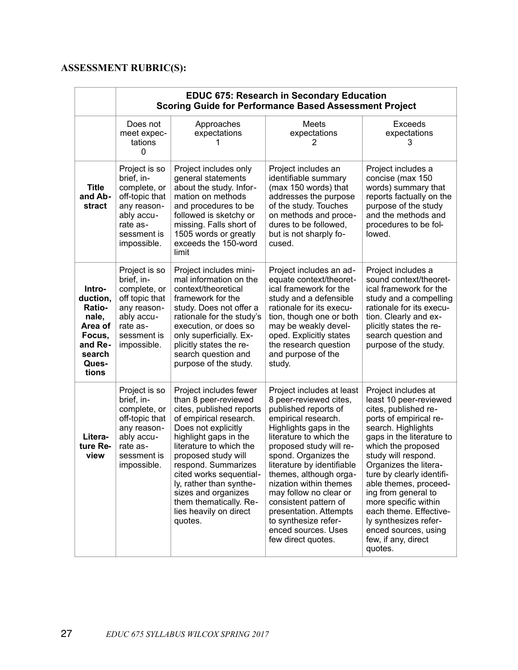# **ASSESSMENT RUBRIC(S):**

|                                                                                                   | <b>EDUC 675: Research in Secondary Education</b><br><b>Scoring Guide for Performance Based Assessment Project</b>                    |                                                                                                                                                                                                                                                                                                                                                                           |                                                                                                                                                                                                                                                                                                                                                                                                                                                |                                                                                                                                                                                                                                                                                                                                                                                                                                            |
|---------------------------------------------------------------------------------------------------|--------------------------------------------------------------------------------------------------------------------------------------|---------------------------------------------------------------------------------------------------------------------------------------------------------------------------------------------------------------------------------------------------------------------------------------------------------------------------------------------------------------------------|------------------------------------------------------------------------------------------------------------------------------------------------------------------------------------------------------------------------------------------------------------------------------------------------------------------------------------------------------------------------------------------------------------------------------------------------|--------------------------------------------------------------------------------------------------------------------------------------------------------------------------------------------------------------------------------------------------------------------------------------------------------------------------------------------------------------------------------------------------------------------------------------------|
|                                                                                                   | Does not<br>meet expec-<br>tations<br>0                                                                                              | Approaches<br>expectations                                                                                                                                                                                                                                                                                                                                                | Meets<br>expectations<br>2                                                                                                                                                                                                                                                                                                                                                                                                                     | <b>Exceeds</b><br>expectations<br>3                                                                                                                                                                                                                                                                                                                                                                                                        |
| <b>Title</b><br>and Ab-<br>stract                                                                 | Project is so<br>brief, in-<br>complete, or<br>off-topic that<br>any reason-<br>ably accu-<br>rate as-<br>sessment is<br>impossible. | Project includes only<br>general statements<br>about the study. Infor-<br>mation on methods<br>and procedures to be<br>followed is sketchy or<br>missing. Falls short of<br>1505 words or greatly<br>exceeds the 150-word<br>limit                                                                                                                                        | Project includes an<br>identifiable summary<br>(max 150 words) that<br>addresses the purpose<br>of the study. Touches<br>on methods and proce-<br>dures to be followed,<br>but is not sharply fo-<br>cused.                                                                                                                                                                                                                                    | Project includes a<br>concise (max 150<br>words) summary that<br>reports factually on the<br>purpose of the study<br>and the methods and<br>procedures to be fol-<br>lowed.                                                                                                                                                                                                                                                                |
| Intro-<br>duction,<br>Ratio-<br>nale,<br>Area of<br>Focus,<br>and Re-<br>search<br>Ques-<br>tions | Project is so<br>brief, in-<br>complete, or<br>off topic that<br>any reason-<br>ably accu-<br>rate as-<br>sessment is<br>impossible. | Project includes mini-<br>mal information on the<br>context/theoretical<br>framework for the<br>study. Does not offer a<br>rationale for the study's<br>execution, or does so<br>only superficially. Ex-<br>plicitly states the re-<br>search question and<br>purpose of the study.                                                                                       | Project includes an ad-<br>equate context/theoret-<br>ical framework for the<br>study and a defensible<br>rationale for its execu-<br>tion, though one or both<br>may be weakly devel-<br>oped. Explicitly states<br>the research question<br>and purpose of the<br>study.                                                                                                                                                                     | Project includes a<br>sound context/theoret-<br>ical framework for the<br>study and a compelling<br>rationale for its execu-<br>tion. Clearly and ex-<br>plicitly states the re-<br>search question and<br>purpose of the study.                                                                                                                                                                                                           |
| Litera-<br>ture Re-<br>view                                                                       | Project is so<br>brief, in-<br>complete, or<br>off-topic that<br>any reason-<br>ably accu-<br>rate as-<br>sessment is<br>impossible. | Project includes fewer<br>than 8 peer-reviewed<br>cites, published reports<br>of empirical research.<br>Does not explicitly<br>highlight gaps in the<br>literature to which the<br>proposed study will<br>respond. Summarizes<br>cited works sequential-<br>ly, rather than synthe-<br>sizes and organizes<br>them thematically. Re-<br>lies heavily on direct<br>quotes. | Project includes at least<br>8 peer-reviewed cites,<br>published reports of<br>empirical research.<br>Highlights gaps in the<br>literature to which the<br>proposed study will re-<br>spond. Organizes the<br>literature by identifiable<br>themes, although orga-<br>nization within themes<br>may follow no clear or<br>consistent pattern of<br>presentation. Attempts<br>to synthesize refer-<br>enced sources. Uses<br>few direct quotes. | Project includes at<br>least 10 peer-reviewed<br>cites, published re-<br>ports of empirical re-<br>search. Highlights<br>gaps in the literature to<br>which the proposed<br>study will respond.<br>Organizes the litera-<br>ture by clearly identifi-<br>able themes, proceed-<br>ing from general to<br>more specific within<br>each theme. Effective-<br>ly synthesizes refer-<br>enced sources, using<br>few, if any, direct<br>quotes. |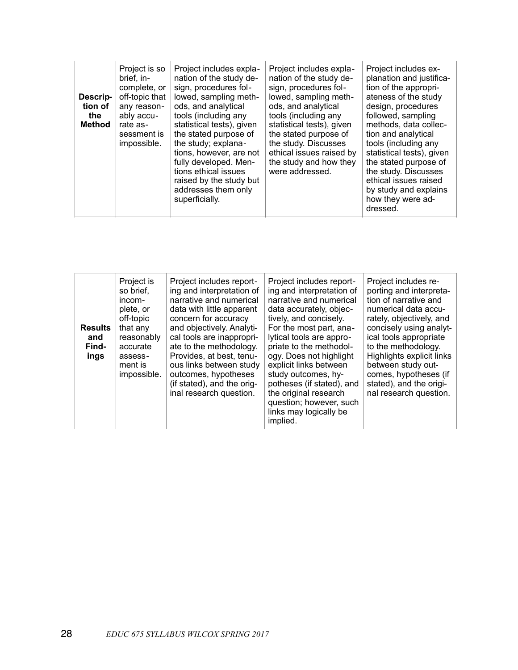| Descrip-<br>tion of<br>the<br><b>Method</b> | Project is so<br>brief, in-<br>complete, or<br>off-topic that<br>any reason-<br>ably accu-<br>rate as-<br>sessment is<br>impossible. | Project includes expla-<br>nation of the study de-<br>sign, procedures fol-<br>lowed, sampling meth-<br>ods, and analytical<br>tools (including any<br>statistical tests), given<br>the stated purpose of<br>the study; explana-<br>tions, however, are not<br>fully developed. Men-<br>tions ethical issues<br>raised by the study but<br>addresses them only<br>superficially. | Project includes expla-<br>nation of the study de-<br>sign, procedures fol-<br>lowed, sampling meth-<br>ods, and analytical<br>tools (including any<br>statistical tests), given<br>the stated purpose of<br>the study. Discusses<br>ethical issues raised by<br>the study and how they<br>were addressed. | Project includes ex-<br>planation and justifica-<br>tion of the appropri-<br>ateness of the study<br>design, procedures<br>followed, sampling<br>methods, data collec-<br>tion and analytical<br>tools (including any<br>statistical tests), given<br>the stated purpose of<br>the study. Discusses<br>ethical issues raised<br>by study and explains<br>how they were ad-<br>dressed. |
|---------------------------------------------|--------------------------------------------------------------------------------------------------------------------------------------|----------------------------------------------------------------------------------------------------------------------------------------------------------------------------------------------------------------------------------------------------------------------------------------------------------------------------------------------------------------------------------|------------------------------------------------------------------------------------------------------------------------------------------------------------------------------------------------------------------------------------------------------------------------------------------------------------|----------------------------------------------------------------------------------------------------------------------------------------------------------------------------------------------------------------------------------------------------------------------------------------------------------------------------------------------------------------------------------------|
|---------------------------------------------|--------------------------------------------------------------------------------------------------------------------------------------|----------------------------------------------------------------------------------------------------------------------------------------------------------------------------------------------------------------------------------------------------------------------------------------------------------------------------------------------------------------------------------|------------------------------------------------------------------------------------------------------------------------------------------------------------------------------------------------------------------------------------------------------------------------------------------------------------|----------------------------------------------------------------------------------------------------------------------------------------------------------------------------------------------------------------------------------------------------------------------------------------------------------------------------------------------------------------------------------------|

| <b>Results</b><br>and<br>Find-<br>ings | Project is<br>so brief.<br>incom-<br>plete, or<br>off-topic<br>that any<br>reasonably<br>accurate<br>assess-<br>ment is<br>impossible. | Project includes report-<br>ing and interpretation of<br>narrative and numerical<br>data with little apparent<br>concern for accuracy<br>and objectively. Analyti-<br>cal tools are inappropri-<br>ate to the methodology.<br>Provides, at best, tenu-<br>ous links between study<br>outcomes, hypotheses<br>(if stated), and the orig-<br>inal research question. | Project includes report-<br>ing and interpretation of<br>narrative and numerical<br>data accurately, objec-<br>tively, and concisely.<br>For the most part, ana-<br>lytical tools are appro-<br>priate to the methodol-<br>ogy. Does not highlight<br>explicit links between<br>study outcomes, hy-<br>potheses (if stated), and<br>the original research<br>question; however, such<br>links may logically be<br>implied. | Project includes re-<br>porting and interpreta-<br>tion of narrative and<br>numerical data accu-<br>rately, objectively, and<br>concisely using analyt-<br>ical tools appropriate<br>to the methodology.<br>Highlights explicit links<br>between study out-<br>comes, hypotheses (if<br>stated), and the origi-<br>nal research question. |
|----------------------------------------|----------------------------------------------------------------------------------------------------------------------------------------|--------------------------------------------------------------------------------------------------------------------------------------------------------------------------------------------------------------------------------------------------------------------------------------------------------------------------------------------------------------------|----------------------------------------------------------------------------------------------------------------------------------------------------------------------------------------------------------------------------------------------------------------------------------------------------------------------------------------------------------------------------------------------------------------------------|-------------------------------------------------------------------------------------------------------------------------------------------------------------------------------------------------------------------------------------------------------------------------------------------------------------------------------------------|
|----------------------------------------|----------------------------------------------------------------------------------------------------------------------------------------|--------------------------------------------------------------------------------------------------------------------------------------------------------------------------------------------------------------------------------------------------------------------------------------------------------------------------------------------------------------------|----------------------------------------------------------------------------------------------------------------------------------------------------------------------------------------------------------------------------------------------------------------------------------------------------------------------------------------------------------------------------------------------------------------------------|-------------------------------------------------------------------------------------------------------------------------------------------------------------------------------------------------------------------------------------------------------------------------------------------------------------------------------------------|